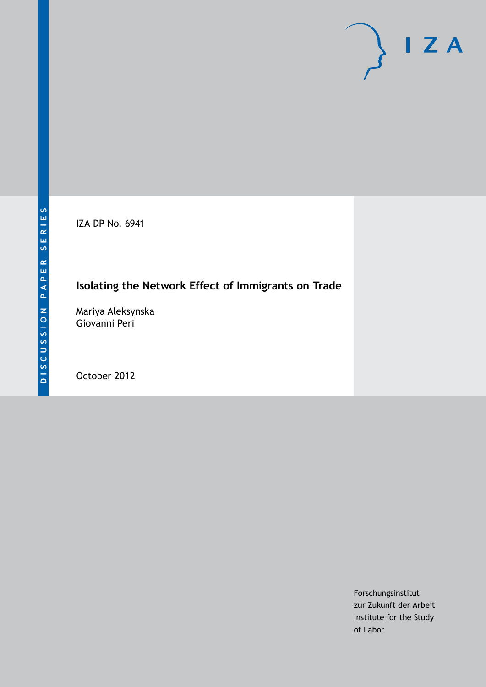IZA DP No. 6941

# **Isolating the Network Effect of Immigrants on Trade**

Mariya Aleksynska Giovanni Peri

October 2012

Forschungsinstitut zur Zukunft der Arbeit Institute for the Study of Labor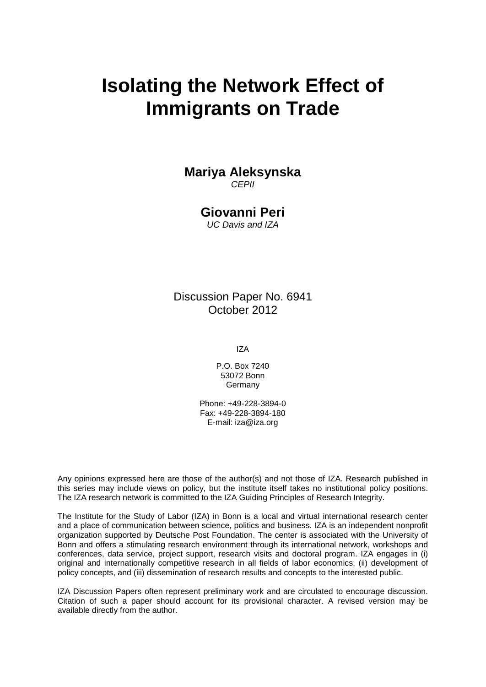# **Isolating the Network Effect of Immigrants on Trade**

# **Mariya Aleksynska**

*CEPII*

# **Giovanni Peri**

*UC Davis and IZA*

Discussion Paper No. 6941 October 2012

IZA

P.O. Box 7240 53072 Bonn Germany

Phone: +49-228-3894-0 Fax: +49-228-3894-180 E-mail: [iza@iza.org](mailto:iza@iza.org)

Any opinions expressed here are those of the author(s) and not those of IZA. Research published in this series may include views on policy, but the institute itself takes no institutional policy positions. The IZA research network is committed to the IZA Guiding Principles of Research Integrity.

The Institute for the Study of Labor (IZA) in Bonn is a local and virtual international research center and a place of communication between science, politics and business. IZA is an independent nonprofit organization supported by Deutsche Post Foundation. The center is associated with the University of Bonn and offers a stimulating research environment through its international network, workshops and conferences, data service, project support, research visits and doctoral program. IZA engages in (i) original and internationally competitive research in all fields of labor economics, (ii) development of policy concepts, and (iii) dissemination of research results and concepts to the interested public.

IZA Discussion Papers often represent preliminary work and are circulated to encourage discussion. Citation of such a paper should account for its provisional character. A revised version may be available directly from the author.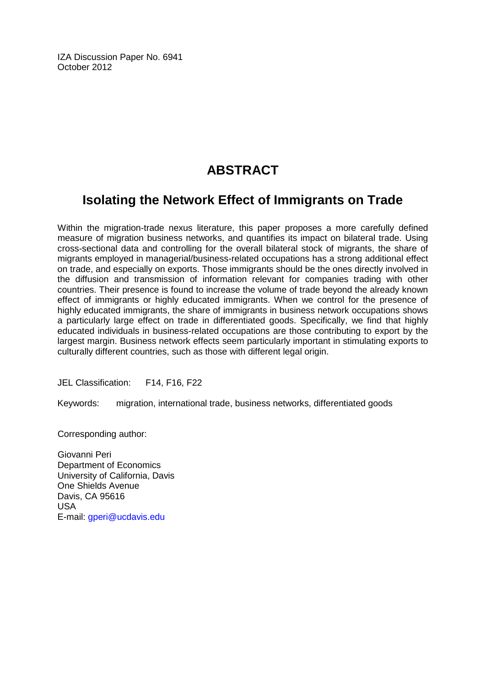IZA Discussion Paper No. 6941 October 2012

# **ABSTRACT**

# **Isolating the Network Effect of Immigrants on Trade**

Within the migration-trade nexus literature, this paper proposes a more carefully defined measure of migration business networks, and quantifies its impact on bilateral trade. Using cross-sectional data and controlling for the overall bilateral stock of migrants, the share of migrants employed in managerial/business-related occupations has a strong additional effect on trade, and especially on exports. Those immigrants should be the ones directly involved in the diffusion and transmission of information relevant for companies trading with other countries. Their presence is found to increase the volume of trade beyond the already known effect of immigrants or highly educated immigrants. When we control for the presence of highly educated immigrants, the share of immigrants in business network occupations shows a particularly large effect on trade in differentiated goods. Specifically, we find that highly educated individuals in business-related occupations are those contributing to export by the largest margin. Business network effects seem particularly important in stimulating exports to culturally different countries, such as those with different legal origin.

JEL Classification: F14, F16, F22

Keywords: migration, international trade, business networks, differentiated goods

Corresponding author:

Giovanni Peri Department of Economics University of California, Davis One Shields Avenue Davis, CA 95616 USA E-mail: [gperi@ucdavis.edu](mailto:gperi@ucdavis.edu)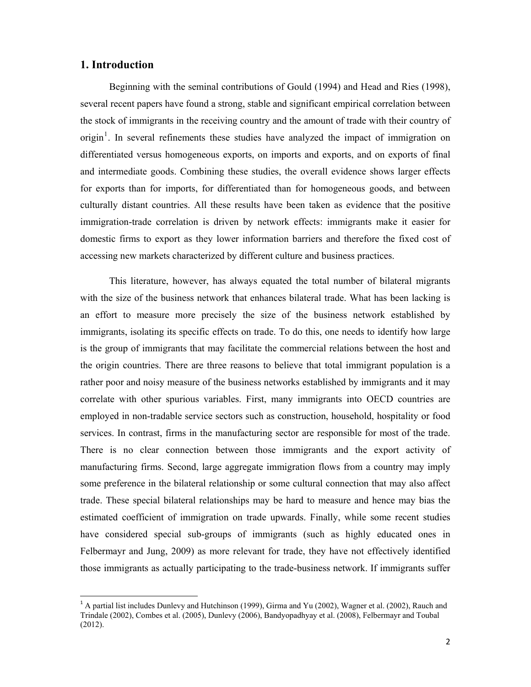### **1. Introduction**

 $\overline{a}$ 

Beginning with the seminal contributions of Gould (1994) and Head and Ries (1998), several recent papers have found a strong, stable and significant empirical correlation between the stock of immigrants in the receiving country and the amount of trade with their country of origin<sup>1</sup>. In several refinements these studies have analyzed the impact of immigration on differentiated versus homogeneous exports, on imports and exports, and on exports of final and intermediate goods. Combining these studies, the overall evidence shows larger effects for exports than for imports, for differentiated than for homogeneous goods, and between culturally distant countries. All these results have been taken as evidence that the positive immigration-trade correlation is driven by network effects: immigrants make it easier for domestic firms to export as they lower information barriers and therefore the fixed cost of accessing new markets characterized by different culture and business practices.

This literature, however, has always equated the total number of bilateral migrants with the size of the business network that enhances bilateral trade. What has been lacking is an effort to measure more precisely the size of the business network established by immigrants, isolating its specific effects on trade. To do this, one needs to identify how large is the group of immigrants that may facilitate the commercial relations between the host and the origin countries. There are three reasons to believe that total immigrant population is a rather poor and noisy measure of the business networks established by immigrants and it may correlate with other spurious variables. First, many immigrants into OECD countries are employed in non-tradable service sectors such as construction, household, hospitality or food services. In contrast, firms in the manufacturing sector are responsible for most of the trade. There is no clear connection between those immigrants and the export activity of manufacturing firms. Second, large aggregate immigration flows from a country may imply some preference in the bilateral relationship or some cultural connection that may also affect trade. These special bilateral relationships may be hard to measure and hence may bias the estimated coefficient of immigration on trade upwards. Finally, while some recent studies have considered special sub-groups of immigrants (such as highly educated ones in Felbermayr and Jung, 2009) as more relevant for trade, they have not effectively identified those immigrants as actually participating to the trade-business network. If immigrants suffer

<sup>1</sup> A partial list includes Dunlevy and Hutchinson (1999), Girma and Yu (2002), Wagner et al. (2002), Rauch and Trindale (2002), Combes et al. (2005), Dunlevy (2006), Bandyopadhyay et al. (2008), Felbermayr and Toubal (2012).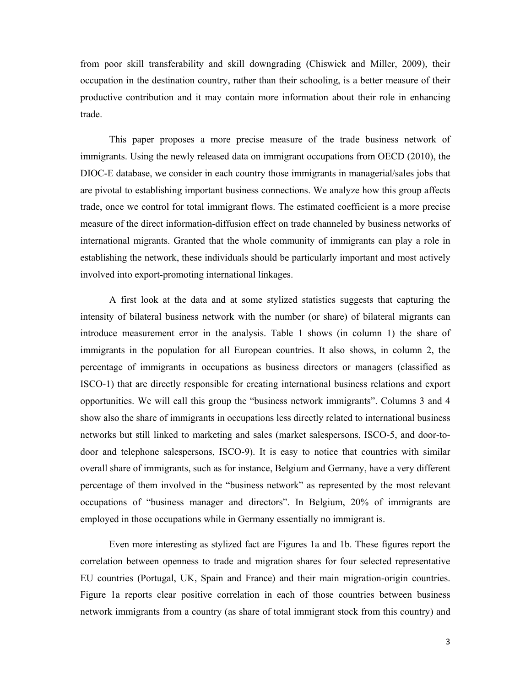from poor skill transferability and skill downgrading (Chiswick and Miller, 2009), their occupation in the destination country, rather than their schooling, is a better measure of their productive contribution and it may contain more information about their role in enhancing trade.

This paper proposes a more precise measure of the trade business network of immigrants. Using the newly released data on immigrant occupations from OECD (2010), the DIOC-E database, we consider in each country those immigrants in managerial/sales jobs that are pivotal to establishing important business connections. We analyze how this group affects trade, once we control for total immigrant flows. The estimated coefficient is a more precise measure of the direct information-diffusion effect on trade channeled by business networks of international migrants. Granted that the whole community of immigrants can play a role in establishing the network, these individuals should be particularly important and most actively involved into export-promoting international linkages.

A first look at the data and at some stylized statistics suggests that capturing the intensity of bilateral business network with the number (or share) of bilateral migrants can introduce measurement error in the analysis. Table 1 shows (in column 1) the share of immigrants in the population for all European countries. It also shows, in column 2, the percentage of immigrants in occupations as business directors or managers (classified as ISCO-1) that are directly responsible for creating international business relations and export opportunities. We will call this group the "business network immigrants". Columns 3 and 4 show also the share of immigrants in occupations less directly related to international business networks but still linked to marketing and sales (market salespersons, ISCO-5, and door-todoor and telephone salespersons, ISCO-9). It is easy to notice that countries with similar overall share of immigrants, such as for instance, Belgium and Germany, have a very different percentage of them involved in the "business network" as represented by the most relevant occupations of "business manager and directors". In Belgium, 20% of immigrants are employed in those occupations while in Germany essentially no immigrant is.

Even more interesting as stylized fact are Figures 1a and 1b. These figures report the correlation between openness to trade and migration shares for four selected representative EU countries (Portugal, UK, Spain and France) and their main migration-origin countries. Figure 1a reports clear positive correlation in each of those countries between business network immigrants from a country (as share of total immigrant stock from this country) and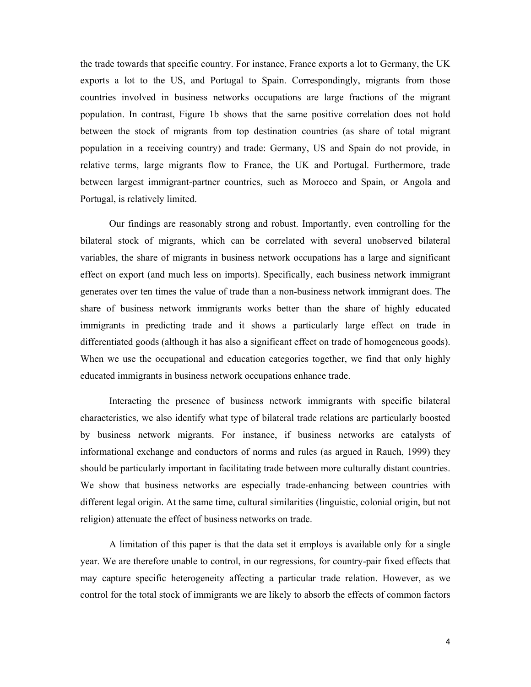the trade towards that specific country. For instance, France exports a lot to Germany, the UK exports a lot to the US, and Portugal to Spain. Correspondingly, migrants from those countries involved in business networks occupations are large fractions of the migrant population. In contrast, Figure 1b shows that the same positive correlation does not hold between the stock of migrants from top destination countries (as share of total migrant population in a receiving country) and trade: Germany, US and Spain do not provide, in relative terms, large migrants flow to France, the UK and Portugal. Furthermore, trade between largest immigrant-partner countries, such as Morocco and Spain, or Angola and Portugal, is relatively limited.

Our findings are reasonably strong and robust. Importantly, even controlling for the bilateral stock of migrants, which can be correlated with several unobserved bilateral variables, the share of migrants in business network occupations has a large and significant effect on export (and much less on imports). Specifically, each business network immigrant generates over ten times the value of trade than a non-business network immigrant does. The share of business network immigrants works better than the share of highly educated immigrants in predicting trade and it shows a particularly large effect on trade in differentiated goods (although it has also a significant effect on trade of homogeneous goods). When we use the occupational and education categories together, we find that only highly educated immigrants in business network occupations enhance trade.

Interacting the presence of business network immigrants with specific bilateral characteristics, we also identify what type of bilateral trade relations are particularly boosted by business network migrants. For instance, if business networks are catalysts of informational exchange and conductors of norms and rules (as argued in Rauch, 1999) they should be particularly important in facilitating trade between more culturally distant countries. We show that business networks are especially trade-enhancing between countries with different legal origin. At the same time, cultural similarities (linguistic, colonial origin, but not religion) attenuate the effect of business networks on trade.

A limitation of this paper is that the data set it employs is available only for a single year. We are therefore unable to control, in our regressions, for country-pair fixed effects that may capture specific heterogeneity affecting a particular trade relation. However, as we control for the total stock of immigrants we are likely to absorb the effects of common factors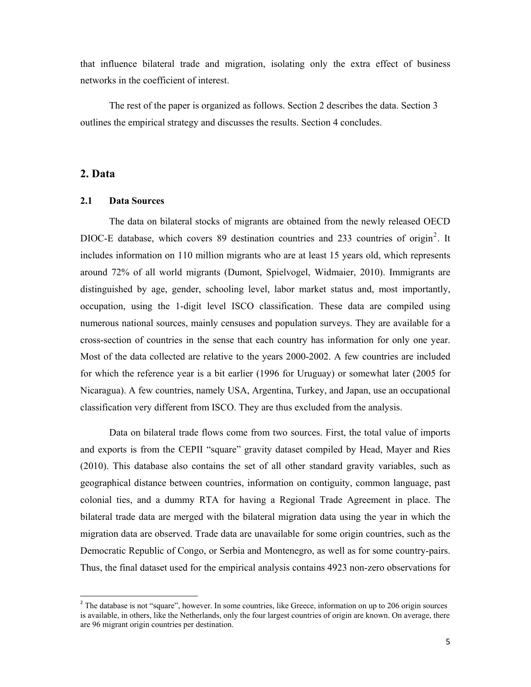that influence bilateral trade and migration, isolating only the extra effect of business networks in the coefficient of interest.

The rest of the paper is organized as follows. Section 2 describes the data. Section 3 outlines the empirical strategy and discusses the results. Section 4 concludes.

### **2. Data**

 $\overline{a}$ 

#### **2.1 Data Sources**

The data on bilateral stocks of migrants are obtained from the newly released OECD DIOC-E database, which covers 89 destination countries and 233 countries of origin<sup>2</sup>. It includes information on 110 million migrants who are at least 15 years old, which represents around 72% of all world migrants (Dumont, Spielvogel, Widmaier, 2010). Immigrants are distinguished by age, gender, schooling level, labor market status and, most importantly, occupation, using the 1-digit level ISCO classification. These data are compiled using numerous national sources, mainly censuses and population surveys. They are available for a cross-section of countries in the sense that each country has information for only one year. Most of the data collected are relative to the years 2000-2002. A few countries are included for which the reference year is a bit earlier (1996 for Uruguay) or somewhat later (2005 for Nicaragua). A few countries, namely USA, Argentina, Turkey, and Japan, use an occupational classification very different from ISCO. They are thus excluded from the analysis.

Data on bilateral trade flows come from two sources. First, the total value of imports and exports is from the CEPII "square" gravity dataset compiled by Head, Mayer and Ries (2010). This database also contains the set of all other standard gravity variables, such as geographical distance between countries, information on contiguity, common language, past colonial ties, and a dummy RTA for having a Regional Trade Agreement in place. The bilateral trade data are merged with the bilateral migration data using the year in which the migration data are observed. Trade data are unavailable for some origin countries, such as the Democratic Republic of Congo, or Serbia and Montenegro, as well as for some country-pairs. Thus, the final dataset used for the empirical analysis contains 4923 non-zero observations for

<sup>&</sup>lt;sup>2</sup> The database is not "square", however. In some countries, like Greece, information on up to 206 origin sources is available, in others, like the Netherlands, only the four largest countries of origin are known. On average, there are 96 migrant origin countries per destination.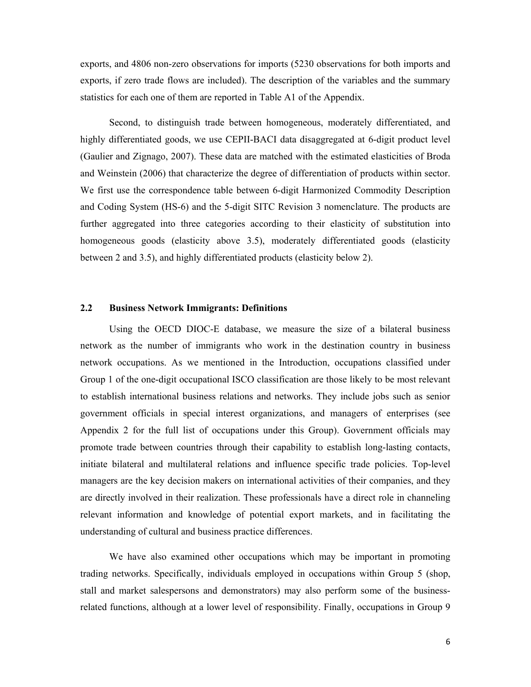exports, and 4806 non-zero observations for imports (5230 observations for both imports and exports, if zero trade flows are included). The description of the variables and the summary statistics for each one of them are reported in Table A1 of the Appendix.

Second, to distinguish trade between homogeneous, moderately differentiated, and highly differentiated goods, we use CEPII-BACI data disaggregated at 6-digit product level (Gaulier and Zignago, 2007). These data are matched with the estimated elasticities of Broda and Weinstein (2006) that characterize the degree of differentiation of products within sector. We first use the correspondence table between 6-digit Harmonized Commodity Description and Coding System (HS-6) and the 5-digit SITC Revision 3 nomenclature. The products are further aggregated into three categories according to their elasticity of substitution into homogeneous goods (elasticity above 3.5), moderately differentiated goods (elasticity between 2 and 3.5), and highly differentiated products (elasticity below 2).

#### **2.2 Business Network Immigrants: Definitions**

Using the OECD DIOC-E database, we measure the size of a bilateral business network as the number of immigrants who work in the destination country in business network occupations. As we mentioned in the Introduction, occupations classified under Group 1 of the one-digit occupational ISCO classification are those likely to be most relevant to establish international business relations and networks. They include jobs such as senior government officials in special interest organizations, and managers of enterprises (see Appendix 2 for the full list of occupations under this Group). Government officials may promote trade between countries through their capability to establish long-lasting contacts, initiate bilateral and multilateral relations and influence specific trade policies. Top-level managers are the key decision makers on international activities of their companies, and they are directly involved in their realization. These professionals have a direct role in channeling relevant information and knowledge of potential export markets, and in facilitating the understanding of cultural and business practice differences.

We have also examined other occupations which may be important in promoting trading networks. Specifically, individuals employed in occupations within Group 5 (shop, stall and market salespersons and demonstrators) may also perform some of the businessrelated functions, although at a lower level of responsibility. Finally, occupations in Group 9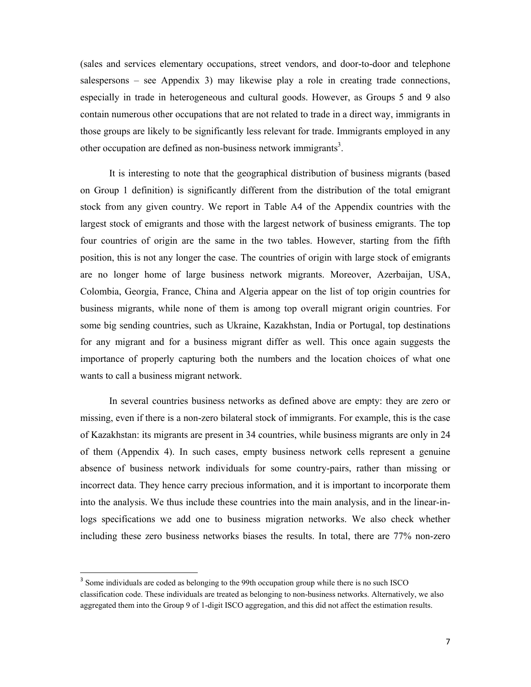(sales and services elementary occupations, street vendors, and door-to-door and telephone salespersons – see Appendix 3) may likewise play a role in creating trade connections, especially in trade in heterogeneous and cultural goods. However, as Groups 5 and 9 also contain numerous other occupations that are not related to trade in a direct way, immigrants in those groups are likely to be significantly less relevant for trade. Immigrants employed in any other occupation are defined as non-business network immigrants<sup>3</sup>.

It is interesting to note that the geographical distribution of business migrants (based on Group 1 definition) is significantly different from the distribution of the total emigrant stock from any given country. We report in Table A4 of the Appendix countries with the largest stock of emigrants and those with the largest network of business emigrants. The top four countries of origin are the same in the two tables. However, starting from the fifth position, this is not any longer the case. The countries of origin with large stock of emigrants are no longer home of large business network migrants. Moreover, Azerbaijan, USA, Colombia, Georgia, France, China and Algeria appear on the list of top origin countries for business migrants, while none of them is among top overall migrant origin countries. For some big sending countries, such as Ukraine, Kazakhstan, India or Portugal, top destinations for any migrant and for a business migrant differ as well. This once again suggests the importance of properly capturing both the numbers and the location choices of what one wants to call a business migrant network.

In several countries business networks as defined above are empty: they are zero or missing, even if there is a non-zero bilateral stock of immigrants. For example, this is the case of Kazakhstan: its migrants are present in 34 countries, while business migrants are only in 24 of them (Appendix 4). In such cases, empty business network cells represent a genuine absence of business network individuals for some country-pairs, rather than missing or incorrect data. They hence carry precious information, and it is important to incorporate them into the analysis. We thus include these countries into the main analysis, and in the linear-inlogs specifications we add one to business migration networks. We also check whether including these zero business networks biases the results. In total, there are 77% non-zero

<sup>&</sup>lt;sup>3</sup> Some individuals are coded as belonging to the 99th occupation group while there is no such ISCO classification code. These individuals are treated as belonging to non-business networks. Alternatively, we also aggregated them into the Group 9 of 1-digit ISCO aggregation, and this did not affect the estimation results.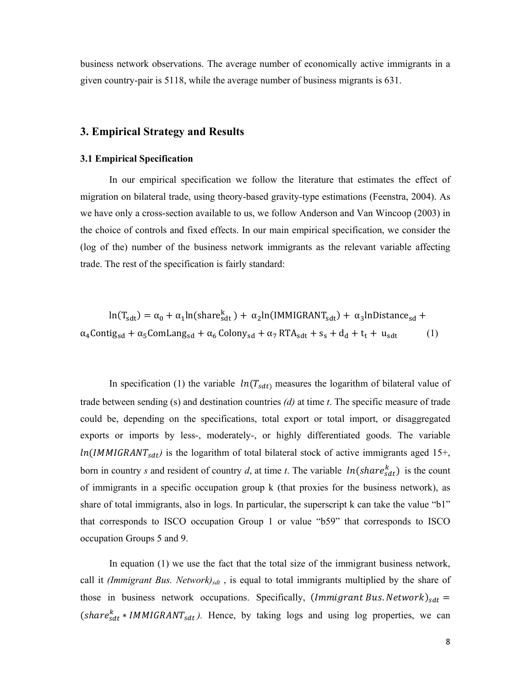business network observations. The average number of economically active immigrants in a given country-pair is 5118, while the average number of business migrants is 631.

#### **3. Empirical Strategy and Results**

#### **3.1 Empirical Specification**

In our empirical specification we follow the literature that estimates the effect of migration on bilateral trade, using theory-based gravity-type estimations (Feenstra, 2004). As we have only a cross-section available to us, we follow Anderson and Van Wincoop (2003) in the choice of controls and fixed effects. In our main empirical specification, we consider the (log of the) number of the business network immigrants as the relevant variable affecting trade. The rest of the specification is fairly standard:

$$
\ln(T_{\text{sdt}}) = \alpha_0 + \alpha_1 \ln(\text{share}_{\text{sdt}}^k) + \alpha_2 \ln(\text{IMMIGRANT}_{\text{sdt}}) + \alpha_3 \ln\text{Distance}_{\text{sd}} + \alpha_4 \text{Contig}_{\text{sd}} + \alpha_5 \text{ComLang}_{\text{sd}} + \alpha_6 \text{Colony}_{\text{sd}} + \alpha_7 \text{RTA}_{\text{sdt}} + s_s + d_d + t_t + u_{\text{sdt}} \tag{1}
$$

In specification (1) the variable  $ln(T_{sdt})$  measures the logarithm of bilateral value of trade between sending (s) and destination countries *(d)* at time *t*. The specific measure of trade could be, depending on the specifications, total export or total import, or disaggregated exports or imports by less-, moderately-, or highly differentiated goods. The variable  $ln(IMMIGRANT<sub>sdt</sub>)$  is the logarithm of total bilateral stock of active immigrants aged 15+, born in country *s* and resident of country *d*, at time *t*. The variable  $ln(share_{sdt}^k)$  is the count of immigrants in a specific occupation group k (that proxies for the business network), as share of total immigrants, also in logs. In particular, the superscript k can take the value "b1" that corresponds to ISCO occupation Group 1 or value "b59" that corresponds to ISCO occupation Groups 5 and 9.

In equation (1) we use the fact that the total size of the immigrant business network, call it *(Immigrant Bus. Network)<sub>sdt</sub>*, is equal to total immigrants multiplied by the share of those in business network occupations. Specifically,  $(Immigrant Bus.Network)_{sdt}$  =  $(share_{sdt}^k * IMMIGRANT_{sdt})$ . Hence, by taking logs and using log properties, we can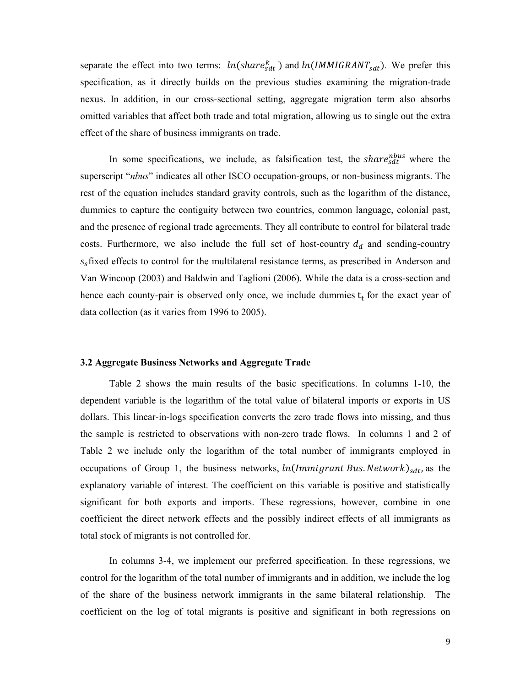separate the effect into two terms:  $ln(share_{sdt}^{k})$  and  $ln(IMMIGRANT_{sdt})$ . We prefer this specification, as it directly builds on the previous studies examining the migration-trade nexus. In addition, in our cross-sectional setting, aggregate migration term also absorbs omitted variables that affect both trade and total migration, allowing us to single out the extra effect of the share of business immigrants on trade.

In some specifications, we include, as falsification test, the share  $h$ <sup>hous</sup> where the superscript "*nbus*" indicates all other ISCO occupation-groups, or non-business migrants. The rest of the equation includes standard gravity controls, such as the logarithm of the distance, dummies to capture the contiguity between two countries, common language, colonial past, and the presence of regional trade agreements. They all contribute to control for bilateral trade costs. Furthermore, we also include the full set of host-country  $d_d$  and sending-country  $s<sub>s</sub>$  fixed effects to control for the multilateral resistance terms, as prescribed in Anderson and Van Wincoop (2003) and Baldwin and Taglioni (2006). While the data is a cross-section and hence each county-pair is observed only once, we include dummies  $t_t$  for the exact year of data collection (as it varies from 1996 to 2005).

#### **3.2 Aggregate Business Networks and Aggregate Trade**

Table 2 shows the main results of the basic specifications. In columns 1-10, the dependent variable is the logarithm of the total value of bilateral imports or exports in US dollars. This linear-in-logs specification converts the zero trade flows into missing, and thus the sample is restricted to observations with non-zero trade flows. In columns 1 and 2 of Table 2 we include only the logarithm of the total number of immigrants employed in occupations of Group 1, the business networks,  $ln(Immigrant\ Bus.Network)_{sdt}$ , as the explanatory variable of interest. The coefficient on this variable is positive and statistically significant for both exports and imports. These regressions, however, combine in one coefficient the direct network effects and the possibly indirect effects of all immigrants as total stock of migrants is not controlled for.

In columns 3-4, we implement our preferred specification. In these regressions, we control for the logarithm of the total number of immigrants and in addition, we include the log of the share of the business network immigrants in the same bilateral relationship. The coefficient on the log of total migrants is positive and significant in both regressions on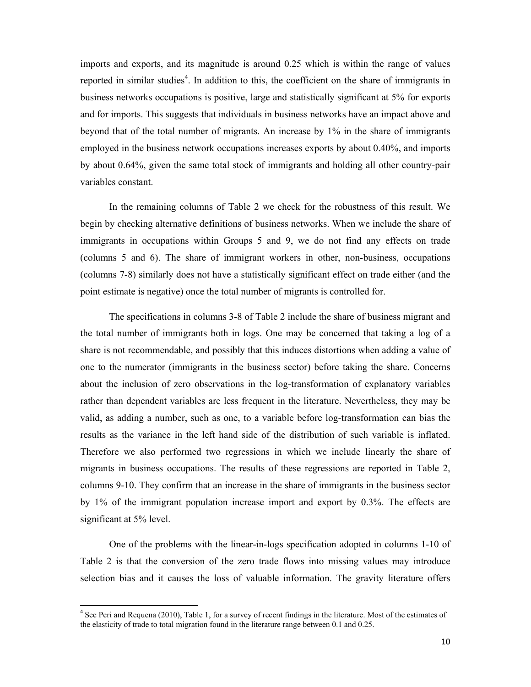imports and exports, and its magnitude is around 0.25 which is within the range of values reported in similar studies<sup>4</sup>. In addition to this, the coefficient on the share of immigrants in business networks occupations is positive, large and statistically significant at 5% for exports and for imports. This suggests that individuals in business networks have an impact above and beyond that of the total number of migrants. An increase by 1% in the share of immigrants employed in the business network occupations increases exports by about 0.40%, and imports by about 0.64%, given the same total stock of immigrants and holding all other country-pair variables constant.

In the remaining columns of Table 2 we check for the robustness of this result. We begin by checking alternative definitions of business networks. When we include the share of immigrants in occupations within Groups 5 and 9, we do not find any effects on trade (columns 5 and 6). The share of immigrant workers in other, non-business, occupations (columns 7-8) similarly does not have a statistically significant effect on trade either (and the point estimate is negative) once the total number of migrants is controlled for.

The specifications in columns 3-8 of Table 2 include the share of business migrant and the total number of immigrants both in logs. One may be concerned that taking a log of a share is not recommendable, and possibly that this induces distortions when adding a value of one to the numerator (immigrants in the business sector) before taking the share. Concerns about the inclusion of zero observations in the log-transformation of explanatory variables rather than dependent variables are less frequent in the literature. Nevertheless, they may be valid, as adding a number, such as one, to a variable before log-transformation can bias the results as the variance in the left hand side of the distribution of such variable is inflated. Therefore we also performed two regressions in which we include linearly the share of migrants in business occupations. The results of these regressions are reported in Table 2, columns 9-10. They confirm that an increase in the share of immigrants in the business sector by 1% of the immigrant population increase import and export by 0.3%. The effects are significant at 5% level.

One of the problems with the linear-in-logs specification adopted in columns 1-10 of Table 2 is that the conversion of the zero trade flows into missing values may introduce selection bias and it causes the loss of valuable information. The gravity literature offers

<sup>&</sup>lt;sup>4</sup> See Peri and Requena (2010), Table 1, for a survey of recent findings in the literature. Most of the estimates of the elasticity of trade to total migration found in the literature range between 0.1 and 0.25.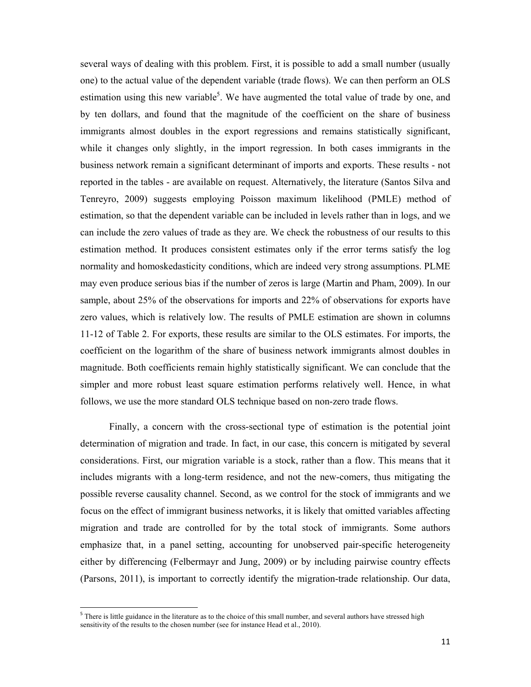several ways of dealing with this problem. First, it is possible to add a small number (usually one) to the actual value of the dependent variable (trade flows). We can then perform an OLS estimation using this new variable<sup>5</sup>. We have augmented the total value of trade by one, and by ten dollars, and found that the magnitude of the coefficient on the share of business immigrants almost doubles in the export regressions and remains statistically significant, while it changes only slightly, in the import regression. In both cases immigrants in the business network remain a significant determinant of imports and exports. These results - not reported in the tables - are available on request. Alternatively, the literature (Santos Silva and Tenreyro, 2009) suggests employing Poisson maximum likelihood (PMLE) method of estimation, so that the dependent variable can be included in levels rather than in logs, and we can include the zero values of trade as they are. We check the robustness of our results to this estimation method. It produces consistent estimates only if the error terms satisfy the log normality and homoskedasticity conditions, which are indeed very strong assumptions. PLME may even produce serious bias if the number of zeros is large (Martin and Pham, 2009). In our sample, about 25% of the observations for imports and 22% of observations for exports have zero values, which is relatively low. The results of PMLE estimation are shown in columns 11-12 of Table 2. For exports, these results are similar to the OLS estimates. For imports, the coefficient on the logarithm of the share of business network immigrants almost doubles in magnitude. Both coefficients remain highly statistically significant. We can conclude that the simpler and more robust least square estimation performs relatively well. Hence, in what follows, we use the more standard OLS technique based on non-zero trade flows.

Finally, a concern with the cross-sectional type of estimation is the potential joint determination of migration and trade. In fact, in our case, this concern is mitigated by several considerations. First, our migration variable is a stock, rather than a flow. This means that it includes migrants with a long-term residence, and not the new-comers, thus mitigating the possible reverse causality channel. Second, as we control for the stock of immigrants and we focus on the effect of immigrant business networks, it is likely that omitted variables affecting migration and trade are controlled for by the total stock of immigrants. Some authors emphasize that, in a panel setting, accounting for unobserved pair-specific heterogeneity either by differencing (Felbermayr and Jung, 2009) or by including pairwise country effects (Parsons, 2011), is important to correctly identify the migration-trade relationship. Our data,

<sup>&</sup>lt;sup>5</sup> There is little guidance in the literature as to the choice of this small number, and several authors have stressed high sensitivity of the results to the chosen number (see for instance Head et al., 2010).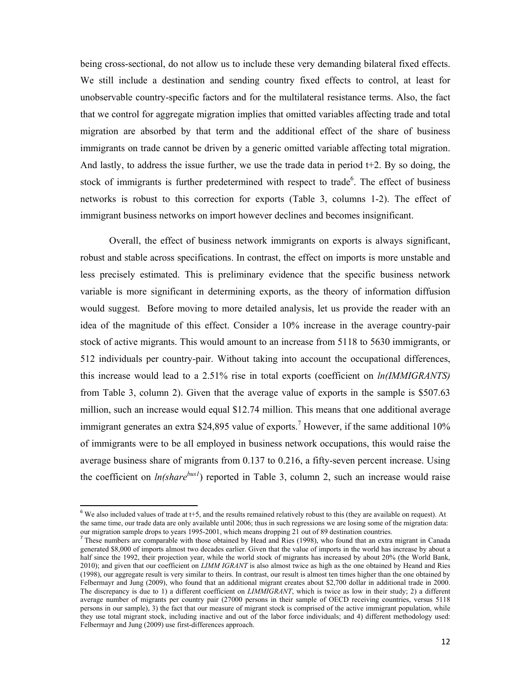being cross-sectional, do not allow us to include these very demanding bilateral fixed effects. We still include a destination and sending country fixed effects to control, at least for unobservable country-specific factors and for the multilateral resistance terms. Also, the fact that we control for aggregate migration implies that omitted variables affecting trade and total migration are absorbed by that term and the additional effect of the share of business immigrants on trade cannot be driven by a generic omitted variable affecting total migration. And lastly, to address the issue further, we use the trade data in period  $t+2$ . By so doing, the stock of immigrants is further predetermined with respect to trade<sup>6</sup>. The effect of business networks is robust to this correction for exports (Table 3, columns 1-2). The effect of immigrant business networks on import however declines and becomes insignificant.

Overall, the effect of business network immigrants on exports is always significant, robust and stable across specifications. In contrast, the effect on imports is more unstable and less precisely estimated. This is preliminary evidence that the specific business network variable is more significant in determining exports, as the theory of information diffusion would suggest. Before moving to more detailed analysis, let us provide the reader with an idea of the magnitude of this effect. Consider a 10% increase in the average country-pair stock of active migrants. This would amount to an increase from 5118 to 5630 immigrants, or 512 individuals per country-pair. Without taking into account the occupational differences, this increase would lead to a 2.51% rise in total exports (coefficient on *ln(IMMIGRANTS)*  from Table 3, column 2). Given that the average value of exports in the sample is \$507.63 million, such an increase would equal \$12.74 million. This means that one additional average immigrant generates an extra \$24,895 value of exports.<sup>7</sup> However, if the same additional 10% of immigrants were to be all employed in business network occupations, this would raise the average business share of migrants from 0.137 to 0.216, a fifty-seven percent increase. Using the coefficient on  $ln(share^{bus})$  reported in Table 3, column 2, such an increase would raise

 $6$  We also included values of trade at t+5, and the results remained relatively robust to this (they are available on request). At the same time, our trade data are only available until 2006; thus in such regressions we are losing some of the migration data: our migration sample drops to years 1995-2001, which means dropping 21 out of 89 destination countries.

<sup>&</sup>lt;sup>7</sup> These numbers are comparable with those obtained by Head and Ries (1998), who found that an extra migrant in Canada generated \$8,000 of imports almost two decades earlier. Given that the value of imports in the world has increase by about a half since the 1992, their projection year, while the world stock of migrants has increased by about 20% (the World Bank, 2010); and given that our coefficient on *LIMM IGRANT* is also almost twice as high as the one obtained by Heand and Ries (1998), our aggregate result is very similar to theirs. In contrast, our result is almost ten times higher than the one obtained by Felbermayr and Jung (2009), who found that an additional migrant creates about \$2,700 dollar in additional trade in 2000. The discrepancy is due to 1) a different coefficient on *LIMMIGRANT*, which is twice as low in their study; 2) a different average number of migrants per country pair (27000 persons in their sample of OECD receiving countries, versus 5118 persons in our sample), 3) the fact that our measure of migrant stock is comprised of the active immigrant population, while they use total migrant stock, including inactive and out of the labor force individuals; and 4) different methodology used: Felbermayr and Jung (2009) use first-differences approach.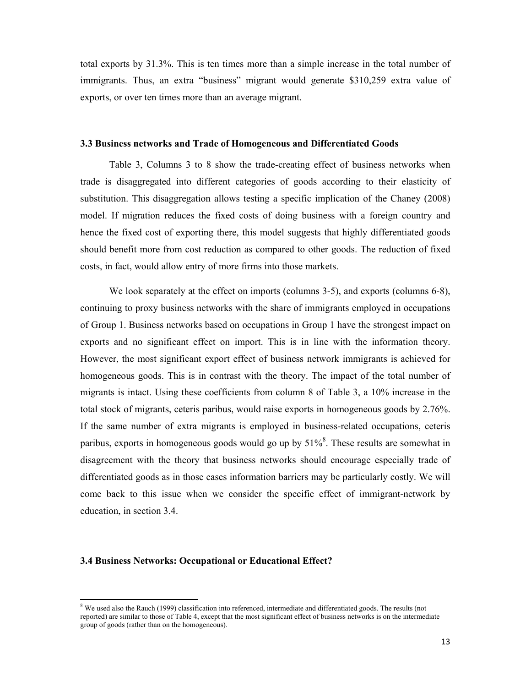total exports by 31.3%. This is ten times more than a simple increase in the total number of immigrants. Thus, an extra "business" migrant would generate \$310,259 extra value of exports, or over ten times more than an average migrant.

#### **3.3 Business networks and Trade of Homogeneous and Differentiated Goods**

Table 3, Columns 3 to 8 show the trade-creating effect of business networks when trade is disaggregated into different categories of goods according to their elasticity of substitution. This disaggregation allows testing a specific implication of the Chaney (2008) model. If migration reduces the fixed costs of doing business with a foreign country and hence the fixed cost of exporting there, this model suggests that highly differentiated goods should benefit more from cost reduction as compared to other goods. The reduction of fixed costs, in fact, would allow entry of more firms into those markets.

We look separately at the effect on imports (columns 3-5), and exports (columns 6-8), continuing to proxy business networks with the share of immigrants employed in occupations of Group 1. Business networks based on occupations in Group 1 have the strongest impact on exports and no significant effect on import. This is in line with the information theory. However, the most significant export effect of business network immigrants is achieved for homogeneous goods. This is in contrast with the theory. The impact of the total number of migrants is intact. Using these coefficients from column 8 of Table 3, a 10% increase in the total stock of migrants, ceteris paribus, would raise exports in homogeneous goods by 2.76%. If the same number of extra migrants is employed in business-related occupations, ceteris paribus, exports in homogeneous goods would go up by  $51\%$ <sup>8</sup>. These results are somewhat in disagreement with the theory that business networks should encourage especially trade of differentiated goods as in those cases information barriers may be particularly costly. We will come back to this issue when we consider the specific effect of immigrant-network by education, in section 3.4.

#### **3.4 Business Networks: Occupational or Educational Effect?**

<sup>&</sup>lt;sup>8</sup> We used also the Rauch (1999) classification into referenced, intermediate and differentiated goods. The results (not reported) are similar to those of Table 4, except that the most significant effect of business networks is on the intermediate group of goods (rather than on the homogeneous).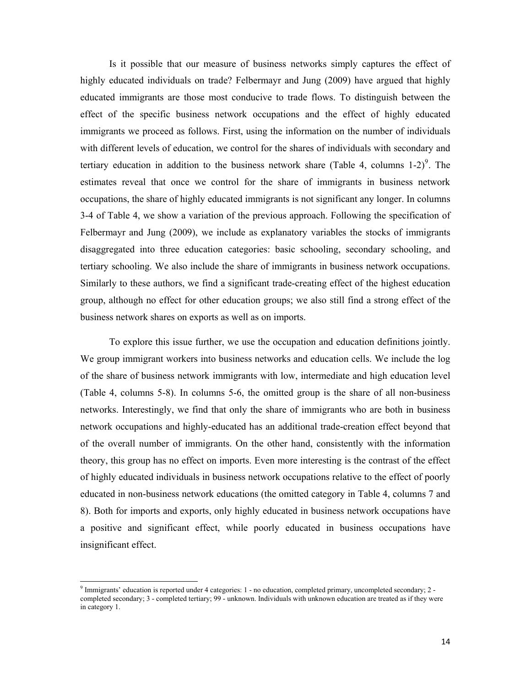Is it possible that our measure of business networks simply captures the effect of highly educated individuals on trade? Felbermayr and Jung (2009) have argued that highly educated immigrants are those most conducive to trade flows. To distinguish between the effect of the specific business network occupations and the effect of highly educated immigrants we proceed as follows. First, using the information on the number of individuals with different levels of education, we control for the shares of individuals with secondary and tertiary education in addition to the business network share (Table 4, columns  $1-2$ )<sup>9</sup>. The estimates reveal that once we control for the share of immigrants in business network occupations, the share of highly educated immigrants is not significant any longer. In columns 3-4 of Table 4, we show a variation of the previous approach. Following the specification of Felbermayr and Jung (2009), we include as explanatory variables the stocks of immigrants disaggregated into three education categories: basic schooling, secondary schooling, and tertiary schooling. We also include the share of immigrants in business network occupations. Similarly to these authors, we find a significant trade-creating effect of the highest education group, although no effect for other education groups; we also still find a strong effect of the business network shares on exports as well as on imports.

To explore this issue further, we use the occupation and education definitions jointly. We group immigrant workers into business networks and education cells. We include the log of the share of business network immigrants with low, intermediate and high education level (Table 4, columns 5-8). In columns 5-6, the omitted group is the share of all non-business networks. Interestingly, we find that only the share of immigrants who are both in business network occupations and highly-educated has an additional trade-creation effect beyond that of the overall number of immigrants. On the other hand, consistently with the information theory, this group has no effect on imports. Even more interesting is the contrast of the effect of highly educated individuals in business network occupations relative to the effect of poorly educated in non-business network educations (the omitted category in Table 4, columns 7 and 8). Both for imports and exports, only highly educated in business network occupations have a positive and significant effect, while poorly educated in business occupations have insignificant effect.

<sup>&</sup>lt;sup>9</sup> Immigrants' education is reported under 4 categories: 1 - no education, completed primary, uncompleted secondary; 2 completed secondary; 3 - completed tertiary; 99 - unknown. Individuals with unknown education are treated as if they were in category 1.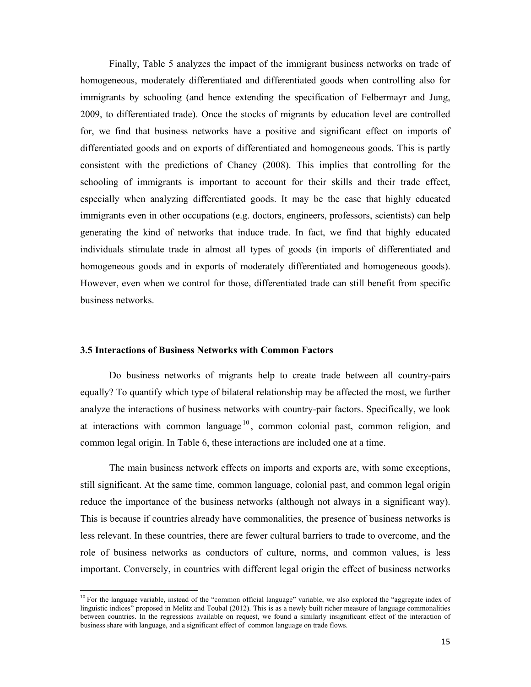Finally, Table 5 analyzes the impact of the immigrant business networks on trade of homogeneous, moderately differentiated and differentiated goods when controlling also for immigrants by schooling (and hence extending the specification of Felbermayr and Jung, 2009, to differentiated trade). Once the stocks of migrants by education level are controlled for, we find that business networks have a positive and significant effect on imports of differentiated goods and on exports of differentiated and homogeneous goods. This is partly consistent with the predictions of Chaney (2008). This implies that controlling for the schooling of immigrants is important to account for their skills and their trade effect, especially when analyzing differentiated goods. It may be the case that highly educated immigrants even in other occupations (e.g. doctors, engineers, professors, scientists) can help generating the kind of networks that induce trade. In fact, we find that highly educated individuals stimulate trade in almost all types of goods (in imports of differentiated and homogeneous goods and in exports of moderately differentiated and homogeneous goods). However, even when we control for those, differentiated trade can still benefit from specific business networks.

#### **3.5 Interactions of Business Networks with Common Factors**

 $\overline{a}$ 

Do business networks of migrants help to create trade between all country-pairs equally? To quantify which type of bilateral relationship may be affected the most, we further analyze the interactions of business networks with country-pair factors. Specifically, we look at interactions with common language  $10$ , common colonial past, common religion, and common legal origin. In Table 6, these interactions are included one at a time.

The main business network effects on imports and exports are, with some exceptions, still significant. At the same time, common language, colonial past, and common legal origin reduce the importance of the business networks (although not always in a significant way). This is because if countries already have commonalities, the presence of business networks is less relevant. In these countries, there are fewer cultural barriers to trade to overcome, and the role of business networks as conductors of culture, norms, and common values, is less important. Conversely, in countries with different legal origin the effect of business networks

<sup>&</sup>lt;sup>10</sup> For the language variable, instead of the "common official language" variable, we also explored the "aggregate index of linguistic indices" proposed in Melitz and Toubal (2012). This is as a newly built richer measure of language commonalities between countries. In the regressions available on request, we found a similarly insignificant effect of the interaction of business share with language, and a significant effect of common language on trade flows.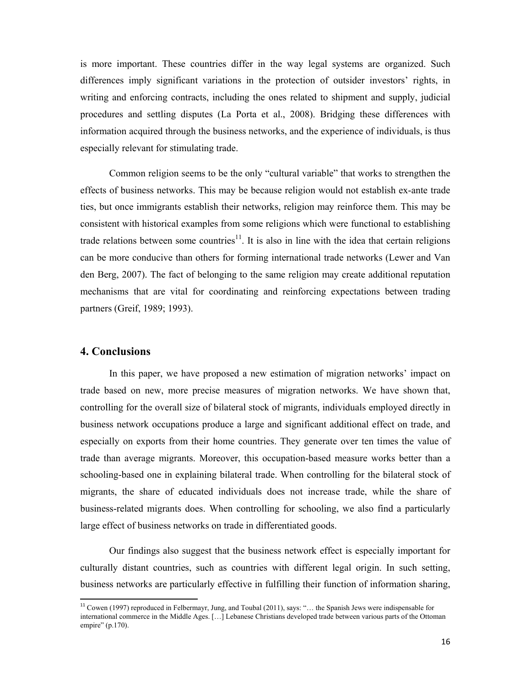is more important. These countries differ in the way legal systems are organized. Such differences imply significant variations in the protection of outsider investors' rights, in writing and enforcing contracts, including the ones related to shipment and supply, judicial procedures and settling disputes (La Porta et al., 2008). Bridging these differences with information acquired through the business networks, and the experience of individuals, is thus especially relevant for stimulating trade.

Common religion seems to be the only "cultural variable" that works to strengthen the effects of business networks. This may be because religion would not establish ex-ante trade ties, but once immigrants establish their networks, religion may reinforce them. This may be consistent with historical examples from some religions which were functional to establishing trade relations between some countries<sup>11</sup>. It is also in line with the idea that certain religions can be more conducive than others for forming international trade networks (Lewer and Van den Berg, 2007). The fact of belonging to the same religion may create additional reputation mechanisms that are vital for coordinating and reinforcing expectations between trading partners (Greif, 1989; 1993).

#### **4. Conclusions**

 $\overline{a}$ 

In this paper, we have proposed a new estimation of migration networks' impact on trade based on new, more precise measures of migration networks. We have shown that, controlling for the overall size of bilateral stock of migrants, individuals employed directly in business network occupations produce a large and significant additional effect on trade, and especially on exports from their home countries. They generate over ten times the value of trade than average migrants. Moreover, this occupation-based measure works better than a schooling-based one in explaining bilateral trade. When controlling for the bilateral stock of migrants, the share of educated individuals does not increase trade, while the share of business-related migrants does. When controlling for schooling, we also find a particularly large effect of business networks on trade in differentiated goods.

Our findings also suggest that the business network effect is especially important for culturally distant countries, such as countries with different legal origin. In such setting, business networks are particularly effective in fulfilling their function of information sharing,

<sup>11</sup> Cowen (1997) reproduced in Felbermayr, Jung, and Toubal (2011), says: "… the Spanish Jews were indispensable for international commerce in the Middle Ages. […] Lebanese Christians developed trade between various parts of the Ottoman empire" (p.170).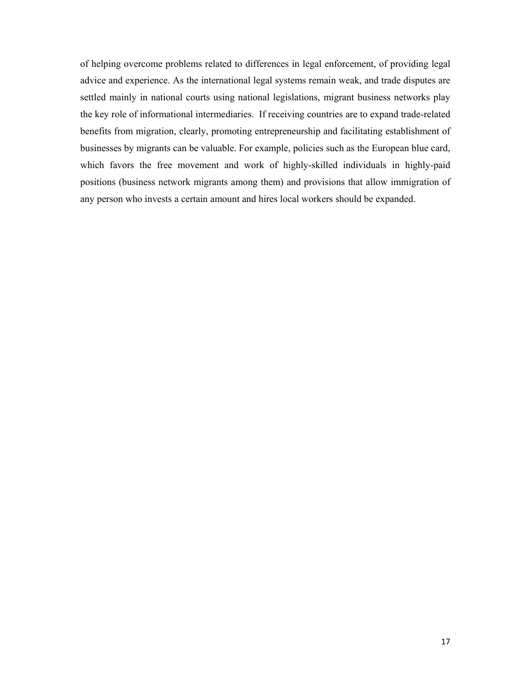of helping overcome problems related to differences in legal enforcement, of providing legal advice and experience. As the international legal systems remain weak, and trade disputes are settled mainly in national courts using national legislations, migrant business networks play the key role of informational intermediaries. If receiving countries are to expand trade-related benefits from migration, clearly, promoting entrepreneurship and facilitating establishment of businesses by migrants can be valuable. For example, policies such as the European blue card, which favors the free movement and work of highly-skilled individuals in highly-paid positions (business network migrants among them) and provisions that allow immigration of any person who invests a certain amount and hires local workers should be expanded.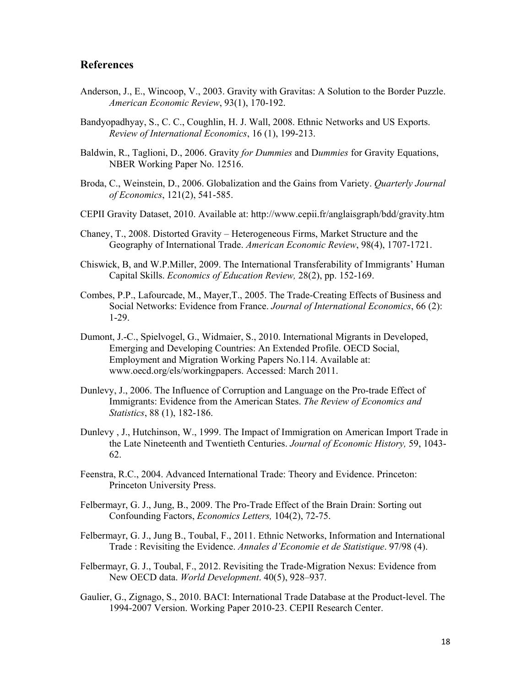### **References**

- Anderson, J., E., Wincoop, V., 2003. Gravity with Gravitas: A Solution to the Border Puzzle. *American Economic Review*, 93(1), 170-192.
- Bandyopadhyay, S., C. C., Coughlin, H. J. Wall, 2008. Ethnic Networks and US Exports. *Review of International Economics*, 16 (1), 199-213.
- Baldwin, R., Taglioni, D., 2006. Gravity *for Dummies* and D*ummies* for Gravity Equations, NBER Working Paper No. 12516.
- Broda, C., Weinstein, D., 2006. Globalization and the Gains from Variety. *Quarterly Journal of Economics*, 121(2), 541-585.
- CEPII Gravity Dataset, 2010. Available at: http://www.cepii.fr/anglaisgraph/bdd/gravity.htm
- Chaney, T., 2008. Distorted Gravity Heterogeneous Firms, Market Structure and the Geography of International Trade. *American Economic Review*, 98(4), 1707-1721.
- Chiswick, B, and W.P.Miller, 2009. The International Transferability of Immigrants' Human Capital Skills. *Economics of Education Review,* 28(2), pp. 152-169.
- Combes, P.P., Lafourcade, M., Mayer,T., 2005. The Trade-Creating Effects of Business and Social Networks: Evidence from France. *Journal of International Economics*, 66 (2): 1-29.
- Dumont, J.-C., Spielvogel, G., Widmaier, S., 2010. International Migrants in Developed, Emerging and Developing Countries: An Extended Profile. OECD Social, Employment and Migration Working Papers No.114. Available at: www.oecd.org/els/workingpapers. Accessed: March 2011.
- Dunlevy, J., 2006. The Influence of Corruption and Language on the Pro-trade Effect of Immigrants: Evidence from the American States. *The Review of Economics and Statistics*, 88 (1), 182-186.
- Dunlevy , J., Hutchinson, W., 1999. The Impact of Immigration on American Import Trade in the Late Nineteenth and Twentieth Centuries. *Journal of Economic History,* 59, 1043- 62.
- Feenstra, R.C., 2004. Advanced International Trade: Theory and Evidence. Princeton: Princeton University Press.
- Felbermayr, G. J., Jung, B., 2009. The Pro-Trade Effect of the Brain Drain: Sorting out Confounding Factors, *Economics Letters,* 104(2), 72-75.
- Felbermayr, G. J., Jung B., Toubal, F., 2011. Ethnic Networks, Information and International Trade : Revisiting the Evidence. *Annales d'Economie et de Statistique*. 97/98 (4).
- Felbermayr, G. J., Toubal, F., 2012. Revisiting the Trade-Migration Nexus: Evidence from New OECD data. *World Development*. 40(5), 928–937.
- Gaulier, G., Zignago, S., 2010. BACI: International Trade Database at the Product-level. The 1994-2007 Version. Working Paper 2010-23. CEPII Research Center.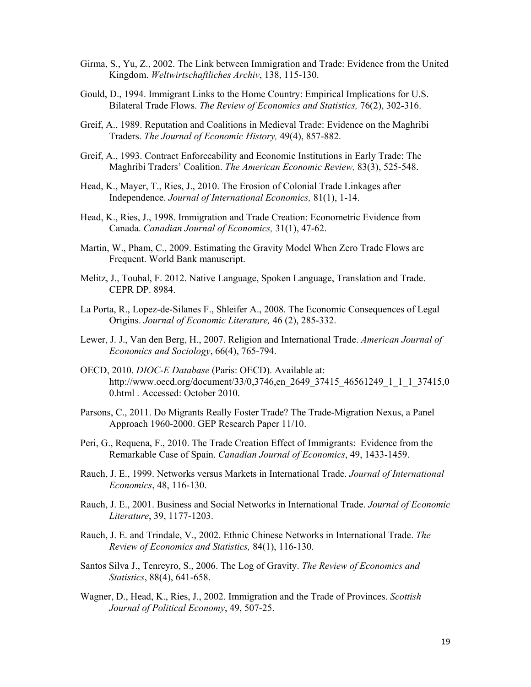- Girma, S., Yu, Z., 2002. The Link between Immigration and Trade: Evidence from the United Kingdom. *Weltwirtschaftliches Archiv*, 138, 115-130.
- Gould, D., 1994. Immigrant Links to the Home Country: Empirical Implications for U.S. Bilateral Trade Flows. *The Review of Economics and Statistics,* 76(2), 302-316.
- Greif, A., 1989. Reputation and Coalitions in Medieval Trade: Evidence on the Maghribi Traders. *The Journal of Economic History,* 49(4), 857-882.
- Greif, A., 1993. Contract Enforceability and Economic Institutions in Early Trade: The Maghribi Traders' Coalition. *The American Economic Review,* 83(3), 525-548.
- Head, K., Mayer, T., Ries, J., 2010. The Erosion of Colonial Trade Linkages after Independence. *Journal of International Economics,* 81(1), 1-14.
- Head, K., Ries, J., 1998. Immigration and Trade Creation: Econometric Evidence from Canada. *Canadian Journal of Economics,* 31(1), 47-62.
- Martin, W., Pham, C., 2009. Estimating the Gravity Model When Zero Trade Flows are Frequent. World Bank manuscript.
- Melitz, J., Toubal, F. 2012. Native Language, Spoken Language, Translation and Trade. CEPR DP. 8984.
- La Porta, R., Lopez-de-Silanes F., Shleifer A., 2008. The Economic Consequences of Legal Origins. *Journal of Economic Literature,* 46 (2), 285-332.
- Lewer, J. J., Van den Berg, H., 2007. Religion and International Trade. *American Journal of Economics and Sociology*, 66(4), 765-794.
- OECD, 2010. *DIOC-E Database* (Paris: OECD). Available at: http://www.oecd.org/document/33/0,3746,en\_2649\_37415\_46561249\_1\_1\_1\_37415,0 0.html . Accessed: October 2010.
- Parsons, C., 2011. Do Migrants Really Foster Trade? The Trade-Migration Nexus, a Panel Approach 1960-2000. GEP Research Paper 11/10.
- Peri, G., Requena, F., 2010. The Trade Creation Effect of Immigrants: Evidence from the Remarkable Case of Spain. *Canadian Journal of Economics*, 49, 1433-1459.
- Rauch, J. E., 1999. Networks versus Markets in International Trade. *Journal of International Economics*, 48, 116-130.
- Rauch, J. E., 2001. Business and Social Networks in International Trade. *Journal of Economic Literature*, 39, 1177-1203.
- Rauch, J. E. and Trindale, V., 2002. Ethnic Chinese Networks in International Trade. *The Review of Economics and Statistics,* 84(1), 116-130.
- Santos Silva J., Tenreyro, S., 2006. The Log of Gravity. *The Review of Economics and Statistics*, 88(4), 641-658.
- Wagner, D., Head, K., Ries, J., 2002. Immigration and the Trade of Provinces. *Scottish Journal of Political Economy*, 49, 507-25.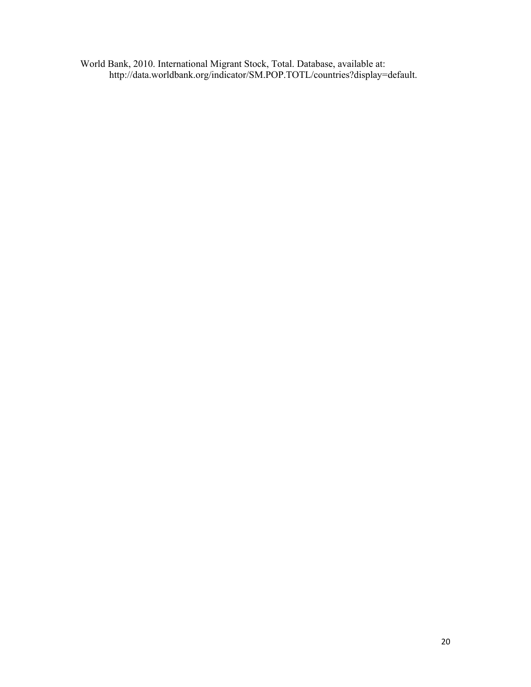World Bank, 2010. International Migrant Stock, Total. Database, available at: http://data.worldbank.org/indicator/SM.POP.TOTL/countries?display=default.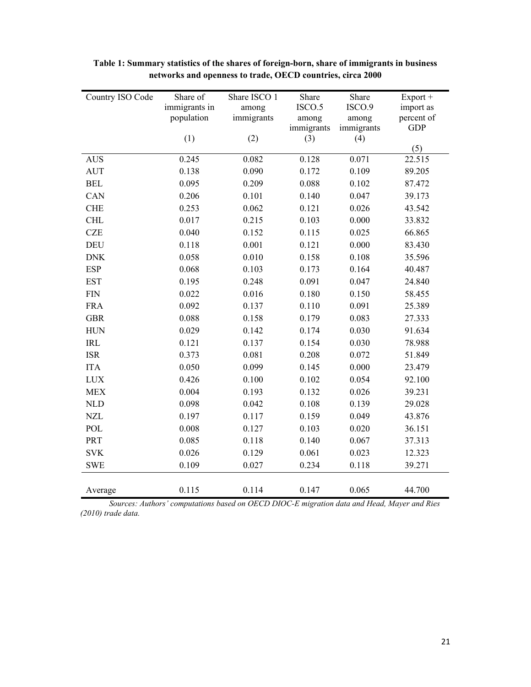| Country ISO Code | Share of      | Share ISCO 1 | Share      | Share      | Export +            |
|------------------|---------------|--------------|------------|------------|---------------------|
|                  | immigrants in | among        | ISCO.5     | ISCO.9     | import as           |
|                  | population    | immigrants   | among      | among      | percent of          |
|                  |               |              | immigrants | immigrants | <b>GDP</b>          |
|                  | (1)           | (2)          | (3)        | (4)        | (5)                 |
| <b>AUS</b>       | 0.245         | 0.082        | 0.128      | 0.071      | $22.51\overline{5}$ |
| <b>AUT</b>       | 0.138         | 0.090        | 0.172      | 0.109      | 89.205              |
| <b>BEL</b>       | 0.095         | 0.209        | 0.088      | 0.102      | 87.472              |
| <b>CAN</b>       | 0.206         | 0.101        | 0.140      | 0.047      | 39.173              |
| <b>CHE</b>       | 0.253         | 0.062        | 0.121      | 0.026      | 43.542              |
| <b>CHL</b>       | 0.017         | 0.215        | 0.103      | 0.000      | 33.832              |
| <b>CZE</b>       | 0.040         | 0.152        | 0.115      | 0.025      | 66.865              |
| <b>DEU</b>       | 0.118         | 0.001        | 0.121      | 0.000      | 83.430              |
| <b>DNK</b>       | 0.058         | 0.010        | 0.158      | 0.108      | 35.596              |
| <b>ESP</b>       | 0.068         | 0.103        | 0.173      | 0.164      | 40.487              |
| <b>EST</b>       | 0.195         | 0.248        | 0.091      | 0.047      | 24.840              |
| $\text{FIN}$     | 0.022         | 0.016        | 0.180      | 0.150      | 58.455              |
| <b>FRA</b>       | 0.092         | 0.137        | 0.110      | 0.091      | 25.389              |
| <b>GBR</b>       | 0.088         | 0.158        | 0.179      | 0.083      | 27.333              |
| <b>HUN</b>       | 0.029         | 0.142        | 0.174      | 0.030      | 91.634              |
| <b>IRL</b>       | 0.121         | 0.137        | 0.154      | 0.030      | 78.988              |
| <b>ISR</b>       | 0.373         | 0.081        | 0.208      | 0.072      | 51.849              |
| <b>ITA</b>       | 0.050         | 0.099        | 0.145      | 0.000      | 23.479              |
| $LUX$            | 0.426         | 0.100        | 0.102      | 0.054      | 92.100              |
| <b>MEX</b>       | 0.004         | 0.193        | 0.132      | 0.026      | 39.231              |
| <b>NLD</b>       | 0.098         | 0.042        | 0.108      | 0.139      | 29.028              |
| <b>NZL</b>       | 0.197         | 0.117        | 0.159      | 0.049      | 43.876              |
| POL              | 0.008         | 0.127        | 0.103      | 0.020      | 36.151              |
| PRT              | 0.085         | 0.118        | 0.140      | 0.067      | 37.313              |
| <b>SVK</b>       | 0.026         | 0.129        | 0.061      | 0.023      | 12.323              |
| <b>SWE</b>       | 0.109         | 0.027        | 0.234      | 0.118      | 39.271              |
|                  |               |              |            |            |                     |
| Average          | 0.115         | 0.114        | 0.147      | 0.065      | 44.700              |

**Table 1: Summary statistics of the shares of foreign-born, share of immigrants in business networks and openness to trade, OECD countries, circa 2000** 

*Sources: Authors' computations based on OECD DIOC-E migration data and Head, Mayer and Ries (2010) trade data.*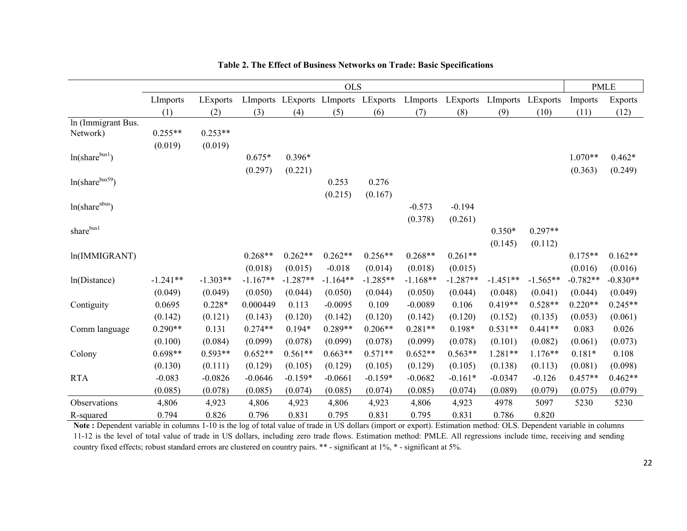|                     | <b>OLS</b> |            |            |            |            | <b>PMLE</b>                         |            |            |                   |            |            |                |
|---------------------|------------|------------|------------|------------|------------|-------------------------------------|------------|------------|-------------------|------------|------------|----------------|
|                     | LImports   | LExports   |            |            |            | LImports LExports LImports LExports | LImports   | LExports   | LImports LExports |            | Imports    | <b>Exports</b> |
|                     | (1)        | (2)        | (3)        | (4)        | (5)        | (6)                                 | (7)        | (8)        | (9)               | (10)       | (11)       | (12)           |
| In (Immigrant Bus.  |            |            |            |            |            |                                     |            |            |                   |            |            |                |
| Network)            | $0.255**$  | $0.253**$  |            |            |            |                                     |            |            |                   |            |            |                |
|                     | (0.019)    | (0.019)    |            |            |            |                                     |            |            |                   |            |            |                |
| $ln(share^{bus1})$  |            |            | $0.675*$   | $0.396*$   |            |                                     |            |            |                   |            | $1.070**$  | $0.462*$       |
|                     |            |            | (0.297)    | (0.221)    |            |                                     |            |            |                   |            | (0.363)    | (0.249)        |
| $ln(share^{bus59})$ |            |            |            |            | 0.253      | 0.276                               |            |            |                   |            |            |                |
|                     |            |            |            |            | (0.215)    | (0.167)                             |            |            |                   |            |            |                |
| $ln(share^{nbus})$  |            |            |            |            |            |                                     | $-0.573$   | $-0.194$   |                   |            |            |                |
|                     |            |            |            |            |            |                                     | (0.378)    | (0.261)    |                   |            |            |                |
| sharebush           |            |            |            |            |            |                                     |            |            | $0.350*$          | $0.297**$  |            |                |
|                     |            |            |            |            |            |                                     |            |            | (0.145)           | (0.112)    |            |                |
| ln(IMMIGRANT)       |            |            | $0.268**$  | $0.262**$  | $0.262**$  | $0.256**$                           | $0.268**$  | $0.261**$  |                   |            | $0.175**$  | $0.162**$      |
|                     |            |            | (0.018)    | (0.015)    | $-0.018$   | (0.014)                             | (0.018)    | (0.015)    |                   |            | (0.016)    | (0.016)        |
| ln(Distance)        | $-1.241**$ | $-1.303**$ | $-1.167**$ | $-1.287**$ | $-1.164**$ | $-1.285**$                          | $-1.168**$ | $-1.287**$ | $-1.451**$        | $-1.565**$ | $-0.782**$ | $-0.830**$     |
|                     | (0.049)    | (0.049)    | (0.050)    | (0.044)    | (0.050)    | (0.044)                             | (0.050)    | (0.044)    | (0.048)           | (0.041)    | (0.044)    | (0.049)        |
| Contiguity          | 0.0695     | $0.228*$   | 0.000449   | 0.113      | $-0.0095$  | 0.109                               | $-0.0089$  | 0.106      | $0.419**$         | $0.528**$  | $0.220**$  | $0.245**$      |
|                     | (0.142)    | (0.121)    | (0.143)    | (0.120)    | (0.142)    | (0.120)                             | (0.142)    | (0.120)    | (0.152)           | (0.135)    | (0.053)    | (0.061)        |
| Comm language       | $0.290**$  | 0.131      | $0.274**$  | $0.194*$   | $0.289**$  | $0.206**$                           | $0.281**$  | $0.198*$   | $0.531**$         | $0.441**$  | 0.083      | 0.026          |
|                     | (0.100)    | (0.084)    | (0.099)    | (0.078)    | (0.099)    | (0.078)                             | (0.099)    | (0.078)    | (0.101)           | (0.082)    | (0.061)    | (0.073)        |
| Colony              | $0.698**$  | $0.593**$  | $0.652**$  | $0.561**$  | $0.663**$  | $0.571**$                           | $0.652**$  | $0.563**$  | 1.281**           | $1.176**$  | $0.181*$   | 0.108          |
|                     | (0.130)    | (0.111)    | (0.129)    | (0.105)    | (0.129)    | (0.105)                             | (0.129)    | (0.105)    | (0.138)           | (0.113)    | (0.081)    | (0.098)        |
| <b>RTA</b>          | $-0.083$   | $-0.0826$  | $-0.0646$  | $-0.159*$  | $-0.0661$  | $-0.159*$                           | $-0.0682$  | $-0.161*$  | $-0.0347$         | $-0.126$   | $0.457**$  | $0.462**$      |
|                     | (0.085)    | (0.078)    | (0.085)    | (0.074)    | (0.085)    | (0.074)                             | (0.085)    | (0.074)    | (0.089)           | (0.079)    | (0.075)    | (0.079)        |
| Observations        | 4,806      | 4,923      | 4,806      | 4,923      | 4,806      | 4,923                               | 4,806      | 4,923      | 4978              | 5097       | 5230       | 5230           |
| R-squared           | 0.794      | 0.826      | 0.796      | 0.831      | 0.795      | 0.831                               | 0.795      | 0.831      | 0.786             | 0.820      |            |                |

#### **Table 2. The Effect of Business Networks on Trade: Basic Specifications**

**Note :** Dependent variable in columns 1-10 is the log of total value of trade in US dollars (import or export). Estimation method: OLS. Dependent variable in columns 11-12 is the level of total value of trade in US dollars, including zero trade flows. Estimation method: PMLE. All regressions include time, receiving and sending country fixed effects; robust standard errors are clustered on country pairs. \*\* - significant at 1%, \* - significant at 5%.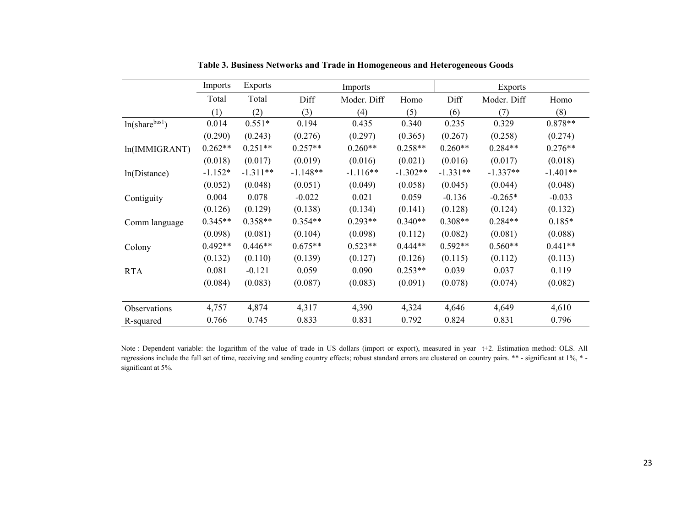|                    | Imports   | <b>Exports</b> |            | Imports     |            |            | <b>Exports</b> |            |
|--------------------|-----------|----------------|------------|-------------|------------|------------|----------------|------------|
|                    | Total     | Total          | Diff       | Moder. Diff | Homo       | Diff       | Moder. Diff    | Homo       |
|                    | (1)       | (2)            | (3)        | (4)         | (5)        | (6)        | (7)            | (8)        |
| $ln(share^{bus1})$ | 0.014     | $0.551*$       | 0.194      | 0.435       | 0.340      | 0.235      | 0.329          | $0.878**$  |
|                    | (0.290)   | (0.243)        | (0.276)    | (0.297)     | (0.365)    | (0.267)    | (0.258)        | (0.274)    |
| ln(IMMIGRANT)      | $0.262**$ | $0.251**$      | $0.257**$  | $0.260**$   | $0.258**$  | $0.260**$  | $0.284**$      | $0.276**$  |
|                    | (0.018)   | (0.017)        | (0.019)    | (0.016)     | (0.021)    | (0.016)    | (0.017)        | (0.018)    |
| ln(Distance)       | $-1.152*$ | $-1.311**$     | $-1.148**$ | $-1.116**$  | $-1.302**$ | $-1.331**$ | $-1.337**$     | $-1.401**$ |
|                    | (0.052)   | (0.048)        | (0.051)    | (0.049)     | (0.058)    | (0.045)    | (0.044)        | (0.048)    |
| Contiguity         | 0.004     | 0.078          | $-0.022$   | 0.021       | 0.059      | $-0.136$   | $-0.265*$      | $-0.033$   |
|                    | (0.126)   | (0.129)        | (0.138)    | (0.134)     | (0.141)    | (0.128)    | (0.124)        | (0.132)    |
| Comm language      | $0.345**$ | $0.358**$      | $0.354**$  | $0.293**$   | $0.340**$  | $0.308**$  | $0.284**$      | $0.185*$   |
|                    | (0.098)   | (0.081)        | (0.104)    | (0.098)     | (0.112)    | (0.082)    | (0.081)        | (0.088)    |
| Colony             | $0.492**$ | $0.446**$      | $0.675**$  | $0.523**$   | $0.444**$  | $0.592**$  | $0.560**$      | $0.441**$  |
|                    | (0.132)   | (0.110)        | (0.139)    | (0.127)     | (0.126)    | (0.115)    | (0.112)        | (0.113)    |
| <b>RTA</b>         | 0.081     | $-0.121$       | 0.059      | 0.090       | $0.253**$  | 0.039      | 0.037          | 0.119      |
|                    | (0.084)   | (0.083)        | (0.087)    | (0.083)     | (0.091)    | (0.078)    | (0.074)        | (0.082)    |
|                    |           |                |            |             |            |            |                |            |
| Observations       | 4,757     | 4,874          | 4,317      | 4,390       | 4,324      | 4,646      | 4,649          | 4,610      |
| R-squared          | 0.766     | 0.745          | 0.833      | 0.831       | 0.792      | 0.824      | 0.831          | 0.796      |

**Table 3. Business Networks and Trade in Homogeneous and Heterogeneous Goods** 

Note : Dependent variable: the logarithm of the value of trade in US dollars (import or export), measured in year t+2. Estimation method: OLS. All regressions include the full set of time, receiving and sending country effects; robust standard errors are clustered on country pairs. \*\* - significant at 1%, \* significant at 5%.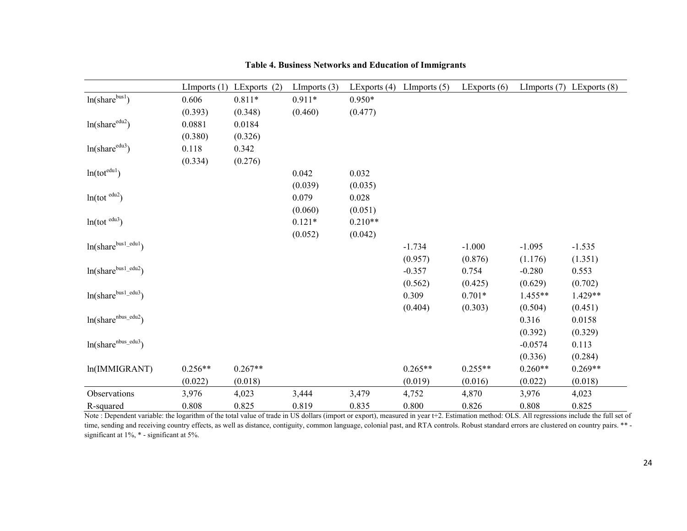|                                 | LImports $(1)$ | LExports $(2)$ | LImports $(3)$ | LExports $(4)$ | LImports $(5)$ | LExports $(6)$ |           | LImports $(7)$ LExports $(8)$ |
|---------------------------------|----------------|----------------|----------------|----------------|----------------|----------------|-----------|-------------------------------|
| $ln(share^{bus1})$              | 0.606          | $0.811*$       | $0.911*$       | $0.950*$       |                |                |           |                               |
|                                 | (0.393)        | (0.348)        | (0.460)        | (0.477)        |                |                |           |                               |
| ln(share <sup>edu2</sup> )      | 0.0881         | 0.0184         |                |                |                |                |           |                               |
|                                 | (0.380)        | (0.326)        |                |                |                |                |           |                               |
| $ln(share^{edu3})$              | 0.118          | 0.342          |                |                |                |                |           |                               |
|                                 | (0.334)        | (0.276)        |                |                |                |                |           |                               |
| $ln(tot^{edul})$                |                |                | 0.042          | 0.032          |                |                |           |                               |
|                                 |                |                | (0.039)        | (0.035)        |                |                |           |                               |
| $ln(tot^{edu2})$                |                |                | 0.079          | 0.028          |                |                |           |                               |
|                                 |                |                | (0.060)        | (0.051)        |                |                |           |                               |
| $ln(tot^{edu3})$                |                |                | $0.121*$       | $0.210**$      |                |                |           |                               |
|                                 |                |                | (0.052)        | (0.042)        |                |                |           |                               |
| $ln(share^{bus1.edu1})$         |                |                |                |                | $-1.734$       | $-1.000$       | $-1.095$  | $-1.535$                      |
|                                 |                |                |                |                | (0.957)        | (0.876)        | (1.176)   | (1.351)                       |
| ln(share <sup>bus1.edu2</sup> ) |                |                |                |                | $-0.357$       | 0.754          | $-0.280$  | 0.553                         |
|                                 |                |                |                |                | (0.562)        | (0.425)        | (0.629)   | (0.702)                       |
| ln(share <sup>bus1.edu3</sup> ) |                |                |                |                | 0.309          | $0.701*$       | 1.455**   | 1.429**                       |
|                                 |                |                |                |                | (0.404)        | (0.303)        | (0.504)   | (0.451)                       |
|                                 |                |                |                |                |                |                | 0.316     | 0.0158                        |
|                                 |                |                |                |                |                |                | (0.392)   | (0.329)                       |
| $ln(share^{nbus_eedu3})$        |                |                |                |                |                |                | $-0.0574$ | 0.113                         |
|                                 |                |                |                |                |                |                | (0.336)   | (0.284)                       |
| ln(IMMIGRANT)                   | $0.256**$      | $0.267**$      |                |                | $0.265**$      | $0.255**$      | $0.260**$ | $0.269**$                     |
|                                 | (0.022)        | (0.018)        |                |                | (0.019)        | (0.016)        | (0.022)   | (0.018)                       |
| Observations                    | 3,976          | 4,023          | 3,444          | 3,479          | 4,752          | 4,870          | 3,976     | 4,023                         |
| R-squared                       | 0.808          | 0.825          | 0.819          | 0.835          | 0.800          | 0.826          | 0.808     | 0.825                         |

**Table 4. Business Networks and Education of Immigrants** 

Note : Dependent variable: the logarithm of the total value of trade in US dollars (import or export), measured in year t+2. Estimation method: OLS. All regressions include the full set of time, sending and receiving country effects, as well as distance, contiguity, common language, colonial past, and RTA controls. Robust standard errors are clustered on country pairs. \*\* significant at  $1\%$ ,  $*$  - significant at 5%.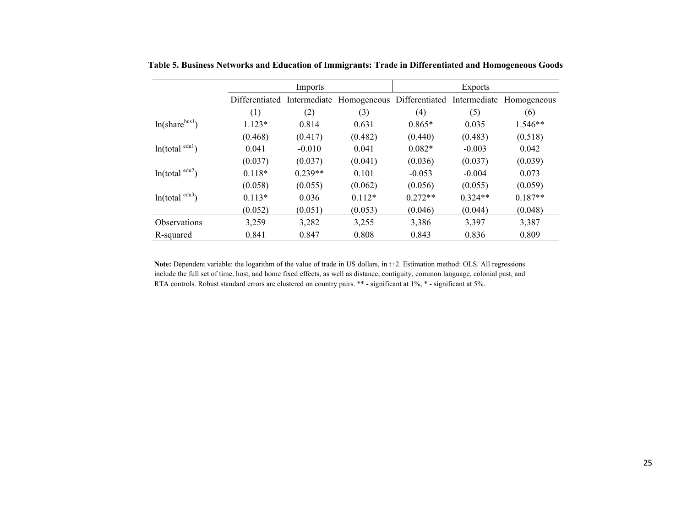|                              | Imports        |           |                                                                  | <b>Exports</b> |           |           |  |
|------------------------------|----------------|-----------|------------------------------------------------------------------|----------------|-----------|-----------|--|
|                              | Differentiated |           | Intermediate Homogeneous Differentiated Intermediate Homogeneous |                |           |           |  |
|                              | (1)            | (2)       | (3)                                                              | (4)            | (5)       | (6)       |  |
| $ln(share^{bus1})$           | $1.123*$       | 0.814     | 0.631                                                            | $0.865*$       | 0.035     | $1.546**$ |  |
|                              | (0.468)        | (0.417)   | (0.482)                                                          | (0.440)        | (0.483)   | (0.518)   |  |
| ln(total <sup>edu1</sup> )   | 0.041          | $-0.010$  | 0.041                                                            | $0.082*$       | $-0.003$  | 0.042     |  |
|                              | (0.037)        | (0.037)   | (0.041)                                                          | (0.036)        | (0.037)   | (0.039)   |  |
| ln(total <sup>edu2</sup> )   | $0.118*$       | $0.239**$ | 0.101                                                            | $-0.053$       | $-0.004$  | 0.073     |  |
|                              | (0.058)        | (0.055)   | (0.062)                                                          | (0.056)        | (0.055)   | (0.059)   |  |
| $ln(total$ <sup>edu3</sup> ) | $0.113*$       | 0.036     | $0.112*$                                                         | $0.272**$      | $0.324**$ | $0.187**$ |  |
|                              | (0.052)        | (0.051)   | (0.053)                                                          | (0.046)        | (0.044)   | (0.048)   |  |
| Observations                 | 3,259          | 3,282     | 3,255                                                            | 3,386          | 3,397     | 3,387     |  |
| R-squared                    | 0.841          | 0.847     | 0.808                                                            | 0.843          | 0.836     | 0.809     |  |

**Table 5. Business Networks and Education of Immigrants: Trade in Differentiated and Homogeneous Goods** 

**Note:** Dependent variable: the logarithm of the value of trade in US dollars, in t+2. Estimation method: OLS. All regressions include the full set of time, host, and home fixed effects, as well as distance, contiguity, common language, colonial past, and RTA controls. Robust standard errors are clustered on country pairs. \*\* - significant at 1%, \* - significant at 5%.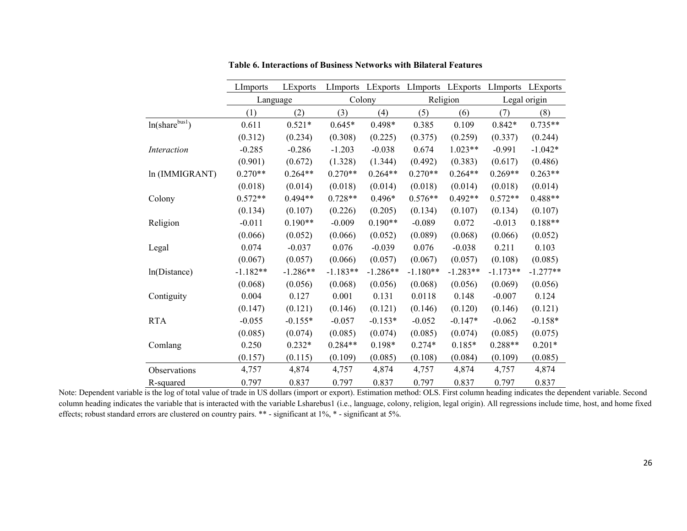|                    | LImports   | LExports   |            |            | LImports LExports LImports LExports |            | LImports     | LExports   |  |
|--------------------|------------|------------|------------|------------|-------------------------------------|------------|--------------|------------|--|
|                    | Language   |            |            | Colony     |                                     | Religion   | Legal origin |            |  |
|                    | (1)        | (2)        | (3)        | (4)        | (5)                                 | (6)        | (7)          | (8)        |  |
| $ln(share^{bus1})$ | 0.611      | $0.521*$   | $0.645*$   | 0.498*     | 0.385                               | 0.109      | $0.842*$     | $0.735**$  |  |
|                    | (0.312)    | (0.234)    | (0.308)    | (0.225)    | (0.375)                             | (0.259)    | (0.337)      | (0.244)    |  |
| <i>Interaction</i> | $-0.285$   | $-0.286$   | $-1.203$   | $-0.038$   | 0.674                               | $1.023**$  | $-0.991$     | $-1.042*$  |  |
|                    | (0.901)    | (0.672)    | (1.328)    | (1.344)    | (0.492)                             | (0.383)    | (0.617)      | (0.486)    |  |
| ln (IMMIGRANT)     | $0.270**$  | $0.264**$  | $0.270**$  | $0.264**$  | $0.270**$                           | $0.264**$  | $0.269**$    | $0.263**$  |  |
|                    | (0.018)    | (0.014)    | (0.018)    | (0.014)    | (0.018)                             | (0.014)    | (0.018)      | (0.014)    |  |
| Colony             | $0.572**$  | $0.494**$  | $0.728**$  | $0.496*$   | $0.576**$                           | $0.492**$  | $0.572**$    | $0.488**$  |  |
|                    | (0.134)    | (0.107)    | (0.226)    | (0.205)    | (0.134)                             | (0.107)    | (0.134)      | (0.107)    |  |
| Religion           | $-0.011$   | $0.190**$  | $-0.009$   | $0.190**$  | $-0.089$                            | 0.072      | $-0.013$     | $0.188**$  |  |
|                    | (0.066)    | (0.052)    | (0.066)    | (0.052)    | (0.089)                             | (0.068)    | (0.066)      | (0.052)    |  |
| Legal              | 0.074      | $-0.037$   | 0.076      | $-0.039$   | 0.076                               | $-0.038$   | 0.211        | 0.103      |  |
|                    | (0.067)    | (0.057)    | (0.066)    | (0.057)    | (0.067)                             | (0.057)    | (0.108)      | (0.085)    |  |
| ln(Distance)       | $-1.182**$ | $-1.286**$ | $-1.183**$ | $-1.286**$ | $-1.180**$                          | $-1.283**$ | $-1.173**$   | $-1.277**$ |  |
|                    | (0.068)    | (0.056)    | (0.068)    | (0.056)    | (0.068)                             | (0.056)    | (0.069)      | (0.056)    |  |
| Contiguity         | 0.004      | 0.127      | 0.001      | 0.131      | 0.0118                              | 0.148      | $-0.007$     | 0.124      |  |
|                    | (0.147)    | (0.121)    | (0.146)    | (0.121)    | (0.146)                             | (0.120)    | (0.146)      | (0.121)    |  |
| <b>RTA</b>         | $-0.055$   | $-0.155*$  | $-0.057$   | $-0.153*$  | $-0.052$                            | $-0.147*$  | $-0.062$     | $-0.158*$  |  |
|                    | (0.085)    | (0.074)    | (0.085)    | (0.074)    | (0.085)                             | (0.074)    | (0.085)      | (0.075)    |  |
| Comlang            | 0.250      | $0.232*$   | $0.284**$  | $0.198*$   | $0.274*$                            | $0.185*$   | 0.288**      | $0.201*$   |  |
|                    | (0.157)    | (0.115)    | (0.109)    | (0.085)    | (0.108)                             | (0.084)    | (0.109)      | (0.085)    |  |
| Observations       | 4,757      | 4,874      | 4,757      | 4,874      | 4,757                               | 4,874      | 4,757        | 4,874      |  |
| R-squared          | 0.797      | 0.837      | 0.797      | 0.837      | 0.797                               | 0.837      | 0.797        | 0.837      |  |

**Table 6. Interactions of Business Networks with Bilateral Features** 

Note: Dependent variable is the log of total value of trade in US dollars (import or export). Estimation method: OLS. First column heading indicates the dependent variable. Second column heading indicates the variable that is interacted with the variable Lsharebus1 (i.e., language, colony, religion, legal origin). All regressions include time, host, and home fixed effects; robust standard errors are clustered on country pairs. \*\* - significant at 1%, \* - significant at 5%.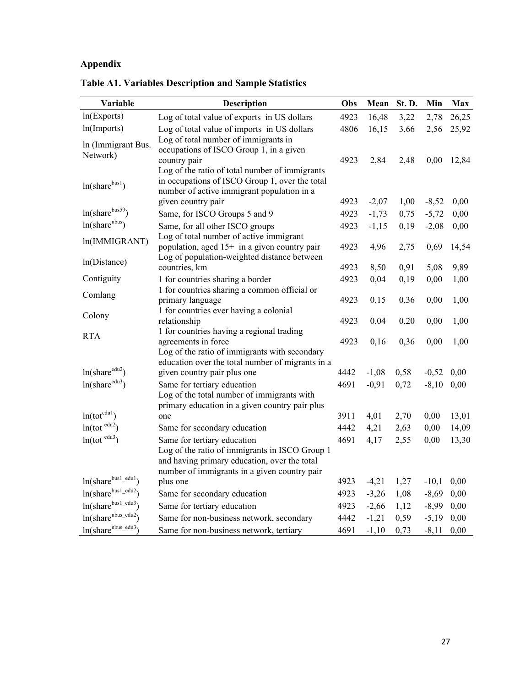# **Appendix**

| Variable                   | <b>Description</b>                                                                          | Obs  | Mean    | St. D. | Min     | Max   |
|----------------------------|---------------------------------------------------------------------------------------------|------|---------|--------|---------|-------|
| ln(Exports)                | Log of total value of exports in US dollars                                                 | 4923 | 16,48   | 3,22   | 2,78    | 26,25 |
| ln(Imports)                | Log of total value of imports in US dollars                                                 | 4806 | 16,15   | 3,66   | 2,56    | 25,92 |
| In (Immigrant Bus.         | Log of total number of immigrants in                                                        |      |         |        |         |       |
| Network)                   | occupations of ISCO Group 1, in a given                                                     |      |         |        |         |       |
|                            | country pair<br>Log of the ratio of total number of immigrants                              | 4923 | 2,84    | 2,48   | 0,00    | 12,84 |
|                            | in occupations of ISCO Group 1, over the total                                              |      |         |        |         |       |
| $ln(share^{bus1})$         | number of active immigrant population in a                                                  |      |         |        |         |       |
|                            | given country pair                                                                          | 4923 | $-2,07$ | 1,00   | $-8,52$ | 0,00  |
| ln(sharebus59)             | Same, for ISCO Groups 5 and 9                                                               | 4923 | $-1,73$ | 0,75   | $-5,72$ | 0,00  |
| $ln(share^{nbus})$         | Same, for all other ISCO groups                                                             | 4923 | $-1,15$ | 0,19   | $-2,08$ | 0,00  |
| ln(IMMIGRANT)              | Log of total number of active immigrant                                                     |      |         |        |         |       |
|                            | population, aged 15+ in a given country pair<br>Log of population-weighted distance between | 4923 | 4,96    | 2,75   | 0,69    | 14,54 |
| ln(Distance)               | countries, km                                                                               | 4923 | 8,50    | 0,91   | 5,08    | 9,89  |
| Contiguity                 | 1 for countries sharing a border                                                            | 4923 | 0,04    | 0,19   | 0,00    | 1,00  |
|                            | 1 for countries sharing a common official or                                                |      |         |        |         |       |
| Comlang                    | primary language                                                                            | 4923 | 0,15    | 0,36   | 0,00    | 1,00  |
| Colony                     | 1 for countries ever having a colonial                                                      |      |         |        |         |       |
|                            | relationship                                                                                | 4923 | 0,04    | 0,20   | 0,00    | 1,00  |
| <b>RTA</b>                 | 1 for countries having a regional trading<br>agreements in force                            | 4923 | 0,16    | 0,36   | 0,00    | 1,00  |
|                            | Log of the ratio of immigrants with secondary                                               |      |         |        |         |       |
|                            | education over the total number of migrants in a                                            |      |         |        |         |       |
| ln(share <sup>edu2</sup> ) | given country pair plus one                                                                 | 4442 | $-1,08$ | 0,58   | $-0,52$ | 0,00  |
| ln(share <sup>edu3</sup> ) | Same for tertiary education                                                                 | 4691 | $-0,91$ | 0,72   | $-8,10$ | 0,00  |
|                            | Log of the total number of immigrants with                                                  |      |         |        |         |       |
| $ln(tot^{edu1})$           | primary education in a given country pair plus<br>one                                       | 3911 | 4,01    | 2,70   | 0,00    | 13,01 |
| $ln(tot^{edu2})$           | Same for secondary education                                                                | 4442 | 4,21    | 2,63   | 0,00    | 14,09 |
| $ln(tot^{edu3})$           | Same for tertiary education                                                                 | 4691 | 4,17    | 2,55   | 0,00    | 13,30 |
|                            | Log of the ratio of immigrants in ISCO Group 1                                              |      |         |        |         |       |
|                            | and having primary education, over the total                                                |      |         |        |         |       |
|                            | number of immigrants in a given country pair                                                |      |         |        |         |       |
| $ln(share^{bus1.edu1})$    | plus one                                                                                    | 4923 | $-4,21$ | 1,27   | $-10,1$ | 0,00  |
| $ln(share^{bus1.edu2})$    | Same for secondary education                                                                | 4923 | $-3,26$ | 1,08   | $-8,69$ | 0,00  |
| $ln(share^{bus1.edu3})$    | Same for tertiary education                                                                 | 4923 | $-2,66$ | 1,12   | $-8,99$ | 0,00  |
| $ln(sharenbus_eedu2)$      | Same for non-business network, secondary                                                    | 4442 | $-1,21$ | 0,59   | $-5,19$ | 0,00  |
| $ln(share^{nbus_e dud})$   | Same for non-business network, tertiary                                                     | 4691 | $-1,10$ | 0,73   | $-8,11$ | 0,00  |

**Table A1. Variables Description and Sample Statistics**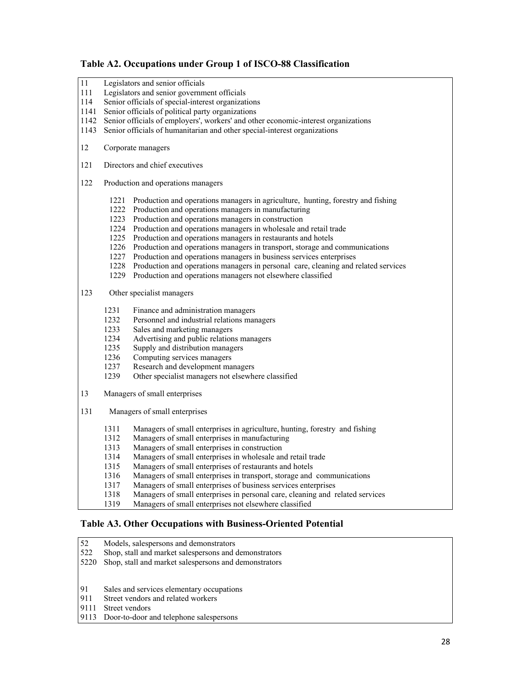### **Table A2. Occupations under Group 1 of ISCO-88 Classification**

| 11<br>111<br>114<br>1141<br>1142<br>1143 |                                                              | Legislators and senior officials<br>Legislators and senior government officials<br>Senior officials of special-interest organizations<br>Senior officials of political party organizations<br>Senior officials of employers', workers' and other economic-interest organizations<br>Senior officials of humanitarian and other special-interest organizations                                                                                                                                                                                                                                                                                                                   |  |  |  |  |  |  |  |  |
|------------------------------------------|--------------------------------------------------------------|---------------------------------------------------------------------------------------------------------------------------------------------------------------------------------------------------------------------------------------------------------------------------------------------------------------------------------------------------------------------------------------------------------------------------------------------------------------------------------------------------------------------------------------------------------------------------------------------------------------------------------------------------------------------------------|--|--|--|--|--|--|--|--|
| 12                                       |                                                              | Corporate managers                                                                                                                                                                                                                                                                                                                                                                                                                                                                                                                                                                                                                                                              |  |  |  |  |  |  |  |  |
| 121                                      |                                                              | Directors and chief executives                                                                                                                                                                                                                                                                                                                                                                                                                                                                                                                                                                                                                                                  |  |  |  |  |  |  |  |  |
| 122                                      |                                                              | Production and operations managers                                                                                                                                                                                                                                                                                                                                                                                                                                                                                                                                                                                                                                              |  |  |  |  |  |  |  |  |
|                                          | 1221<br>1225                                                 | Production and operations managers in agriculture, hunting, forestry and fishing<br>1222 Production and operations managers in manufacturing<br>1223 Production and operations managers in construction<br>1224 Production and operations managers in wholesale and retail trade<br>Production and operations managers in restaurants and hotels<br>1226 Production and operations managers in transport, storage and communications<br>1227 Production and operations managers in business services enterprises<br>1228 Production and operations managers in personal care, cleaning and related services<br>1229 Production and operations managers not elsewhere classified |  |  |  |  |  |  |  |  |
| 123                                      |                                                              | Other specialist managers                                                                                                                                                                                                                                                                                                                                                                                                                                                                                                                                                                                                                                                       |  |  |  |  |  |  |  |  |
|                                          | 1231<br>1232<br>1233<br>1234<br>1235<br>1236<br>1237<br>1239 | Finance and administration managers<br>Personnel and industrial relations managers<br>Sales and marketing managers<br>Advertising and public relations managers<br>Supply and distribution managers<br>Computing services managers<br>Research and development managers<br>Other specialist managers not elsewhere classified                                                                                                                                                                                                                                                                                                                                                   |  |  |  |  |  |  |  |  |
| 13                                       |                                                              | Managers of small enterprises                                                                                                                                                                                                                                                                                                                                                                                                                                                                                                                                                                                                                                                   |  |  |  |  |  |  |  |  |
| 131                                      |                                                              | Managers of small enterprises                                                                                                                                                                                                                                                                                                                                                                                                                                                                                                                                                                                                                                                   |  |  |  |  |  |  |  |  |
|                                          | 1311<br>1312<br>1313<br>1314<br>1315<br>1316<br>1317<br>1318 | Managers of small enterprises in agriculture, hunting, forestry and fishing<br>Managers of small enterprises in manufacturing<br>Managers of small enterprises in construction<br>Managers of small enterprises in wholesale and retail trade<br>Managers of small enterprises of restaurants and hotels<br>Managers of small enterprises in transport, storage and communications<br>Managers of small enterprises of business services enterprises<br>Managers of small enterprises in personal care, cleaning and related services                                                                                                                                           |  |  |  |  |  |  |  |  |

### 1319 Managers of small enterprises not elsewhere classified

#### **Table A3. Other Occupations with Business-Oriented Potential**

- 52 Models, salespersons and demonstrators<br>522 Shop, stall and market salespersons and c
- Shop, stall and market salespersons and demonstrators
- 5220 Shop, stall and market salespersons and demonstrators
- 91 Sales and services elementary occupations<br>911 Street vendors and related workers
- Street vendors and related workers
- 9111 Street vendors
- 9113 Door-to-door and telephone salespersons